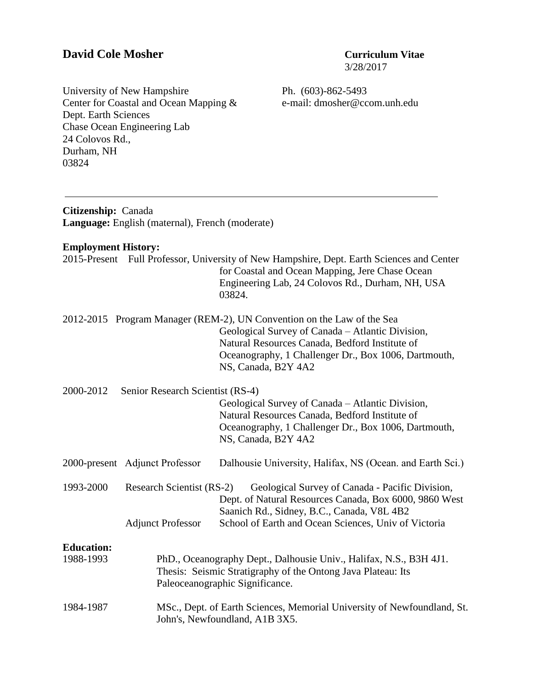# **David Cole Mosher Curriculum Vitae**

3/28/2017

University of New Hampshire Center for Coastal and Ocean Mapping & Dept. Earth Sciences Chase Ocean Engineering Lab 24 Colovos Rd., Durham, NH 03824

Ph. (603)-862-5493 e-mail: dmosher@ccom.unh.edu

| Citizenship: Canada        | Language: English (maternal), French (moderate)              |                                                                                                                                                                                                                                                             |  |  |  |
|----------------------------|--------------------------------------------------------------|-------------------------------------------------------------------------------------------------------------------------------------------------------------------------------------------------------------------------------------------------------------|--|--|--|
| <b>Employment History:</b> |                                                              |                                                                                                                                                                                                                                                             |  |  |  |
|                            |                                                              | 2015-Present Full Professor, University of New Hampshire, Dept. Earth Sciences and Center<br>for Coastal and Ocean Mapping, Jere Chase Ocean<br>Engineering Lab, 24 Colovos Rd., Durham, NH, USA<br>03824.                                                  |  |  |  |
|                            |                                                              | 2012-2015 Program Manager (REM-2), UN Convention on the Law of the Sea<br>Geological Survey of Canada - Atlantic Division,<br>Natural Resources Canada, Bedford Institute of<br>Oceanography, 1 Challenger Dr., Box 1006, Dartmouth,<br>NS, Canada, B2Y 4A2 |  |  |  |
| 2000-2012                  | Senior Research Scientist (RS-4)                             | Geological Survey of Canada - Atlantic Division,<br>Natural Resources Canada, Bedford Institute of<br>Oceanography, 1 Challenger Dr., Box 1006, Dartmouth,<br>NS, Canada, B2Y 4A2                                                                           |  |  |  |
|                            | 2000-present Adjunct Professor                               | Dalhousie University, Halifax, NS (Ocean. and Earth Sci.)                                                                                                                                                                                                   |  |  |  |
| 1993-2000                  | <b>Research Scientist (RS-2)</b><br><b>Adjunct Professor</b> | Geological Survey of Canada - Pacific Division,<br>Dept. of Natural Resources Canada, Box 6000, 9860 West<br>Saanich Rd., Sidney, B.C., Canada, V8L 4B2<br>School of Earth and Ocean Sciences, Univ of Victoria                                             |  |  |  |
| <b>Education:</b>          |                                                              |                                                                                                                                                                                                                                                             |  |  |  |
| 1988-1993                  |                                                              | PhD., Oceanography Dept., Dalhousie Univ., Halifax, N.S., B3H 4J1.<br>Thesis: Seismic Stratigraphy of the Ontong Java Plateau: Its<br>Paleoceanographic Significance.                                                                                       |  |  |  |
| 1984-1987                  |                                                              | MSc., Dept. of Earth Sciences, Memorial University of Newfoundland, St.<br>John's, Newfoundland, A1B 3X5.                                                                                                                                                   |  |  |  |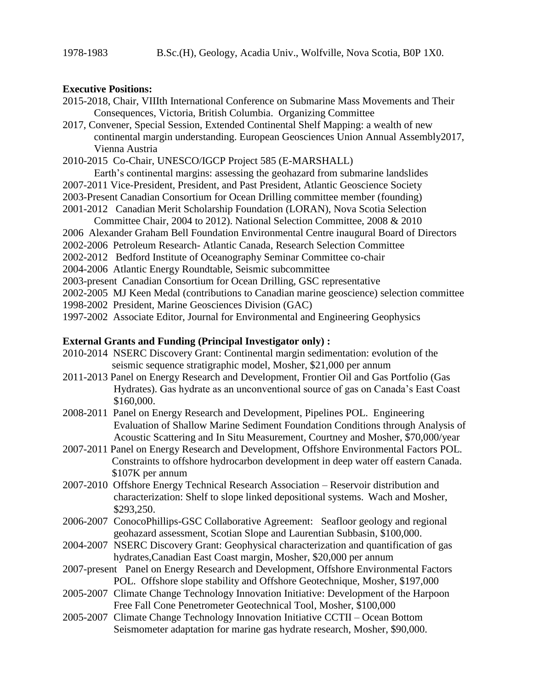#### **Executive Positions:**

- 2015-2018, Chair, VIIIth International Conference on Submarine Mass Movements and Their Consequences, Victoria, British Columbia. Organizing Committee
- 2017, Convener, Special Session, Extended Continental Shelf Mapping: a wealth of new continental margin understanding. European Geosciences Union Annual Assembly2017, Vienna Austria
- 2010-2015 Co-Chair, UNESCO/IGCP Project 585 (E-MARSHALL)
	- Earth's continental margins: assessing the geohazard from submarine landslides
- 2007-2011 Vice-President, President, and Past President, Atlantic Geoscience Society
- 2003-Present Canadian Consortium for Ocean Drilling committee member (founding)
- 2001-2012 Canadian Merit Scholarship Foundation (LORAN), Nova Scotia Selection Committee Chair, 2004 to 2012). National Selection Committee, 2008 & 2010
- 2006 Alexander Graham Bell Foundation Environmental Centre inaugural Board of Directors
- 2002-2006 Petroleum Research- Atlantic Canada, Research Selection Committee
- 2002-2012 Bedford Institute of Oceanography Seminar Committee co-chair
- 2004-2006 Atlantic Energy Roundtable, Seismic subcommittee
- 2003-present Canadian Consortium for Ocean Drilling, GSC representative
- 2002-2005 MJ Keen Medal (contributions to Canadian marine geoscience) selection committee
- 1998-2002 President, Marine Geosciences Division (GAC)
- 1997-2002 Associate Editor, Journal for Environmental and Engineering Geophysics

#### **External Grants and Funding (Principal Investigator only) :**

- 2010-2014NSERC Discovery Grant: Continental margin sedimentation: evolution of the seismic sequence stratigraphic model, Mosher, \$21,000 per annum
- 2011-2013 Panel on Energy Research and Development, Frontier Oil and Gas Portfolio (Gas Hydrates). Gas hydrate as an unconventional source of gas on Canada's East Coast \$160,000.
- 2008-2011 Panel on Energy Research and Development, Pipelines POL. Engineering Evaluation of Shallow Marine Sediment Foundation Conditions through Analysis of Acoustic Scattering and In Situ Measurement, Courtney and Mosher, \$70,000/year
- 2007-2011 Panel on Energy Research and Development, Offshore Environmental Factors POL. Constraints to offshore hydrocarbon development in deep water off eastern Canada. \$107K per annum
- 2007-2010 Offshore Energy Technical Research Association Reservoir distribution and characterization: Shelf to slope linked depositional systems.Wach and Mosher, \$293,250.
- 2006-2007 ConocoPhillips-GSC Collaborative Agreement: Seafloor geology and regional geohazard assessment, Scotian Slope and Laurentian Subbasin, \$100,000.
- 2004-2007 NSERC Discovery Grant: Geophysical characterization and quantification of gas hydrates,Canadian East Coast margin, Mosher, \$20,000 per annum
- 2007-present Panel on Energy Research and Development, Offshore Environmental Factors POL. Offshore slope stability and Offshore Geotechnique, Mosher, \$197,000
- 2005-2007 Climate Change Technology Innovation Initiative: Development of the Harpoon Free Fall Cone Penetrometer Geotechnical Tool, Mosher, \$100,000
- 2005-2007 Climate Change Technology Innovation Initiative CCTII Ocean Bottom Seismometer adaptation for marine gas hydrate research, Mosher, \$90,000.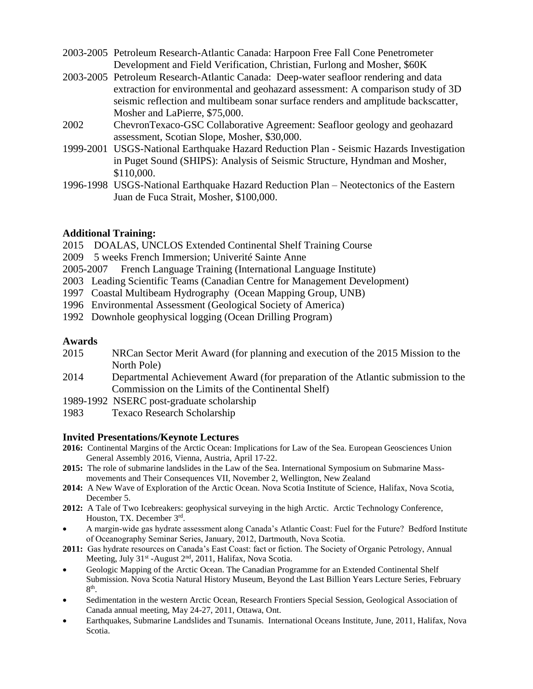- 2003-2005 Petroleum Research-Atlantic Canada: Harpoon Free Fall Cone Penetrometer Development and Field Verification, Christian, Furlong and Mosher, \$60K
- 2003-2005 Petroleum Research-Atlantic Canada: Deep-water seafloor rendering and data extraction for environmental and geohazard assessment: A comparison study of 3D seismic reflection and multibeam sonar surface renders and amplitude backscatter, Mosher and LaPierre, \$75,000.
- 2002 ChevronTexaco-GSC Collaborative Agreement: Seafloor geology and geohazard assessment, Scotian Slope, Mosher, \$30,000.
- 1999-2001 USGS-National Earthquake Hazard Reduction Plan Seismic Hazards Investigation in Puget Sound (SHIPS): Analysis of Seismic Structure, Hyndman and Mosher, \$110,000.
- 1996-1998 USGS-National Earthquake Hazard Reduction Plan Neotectonics of the Eastern Juan de Fuca Strait, Mosher, \$100,000.

# **Additional Training:**

- 2015 DOALAS, UNCLOS Extended Continental Shelf Training Course
- 2009 5 weeks French Immersion; Univerité Sainte Anne
- 2005-2007 French Language Training (International Language Institute)
- 2003 Leading Scientific Teams (Canadian Centre for Management Development)
- 1997 Coastal Multibeam Hydrography (Ocean Mapping Group, UNB)
- 1996 Environmental Assessment (Geological Society of America)
- 1992 Downhole geophysical logging (Ocean Drilling Program)

# **Awards**

- 2015 NRCan Sector Merit Award (for planning and execution of the 2015 Mission to the North Pole)
- 2014 Departmental Achievement Award (for preparation of the Atlantic submission to the Commission on the Limits of the Continental Shelf)
- 1989-1992 NSERC post-graduate scholarship
- 1983 Texaco Research Scholarship

#### **Invited Presentations/Keynote Lectures**

- **2016:** Continental Margins of the Arctic Ocean: Implications for Law of the Sea. European Geosciences Union General Assembly 2016, Vienna, Austria, April 17-22.
- **2015:** The role of submarine landslides in the Law of the Sea. International Symposium on Submarine Massmovements and Their Consequences VII, November 2, Wellington, New Zealand
- **2014:** A New Wave of Exploration of the Arctic Ocean. Nova Scotia Institute of Science, Halifax, Nova Scotia, December 5.
- **2012:** A Tale of Two Icebreakers: geophysical surveying in the high Arctic. Arctic Technology Conference, Houston, TX. December 3rd.
- A margin-wide gas hydrate assessment along Canada's Atlantic Coast: Fuel for the Future? Bedford Institute of Oceanography Seminar Series, January, 2012, Dartmouth, Nova Scotia.
- **2011:** Gas hydrate resources on Canada's East Coast: fact or fiction. The Society of Organic Petrology, Annual Meeting, July 31<sup>st</sup> -August 2<sup>nd</sup>, 2011, Halifax, Nova Scotia.
- Geologic Mapping of the Arctic Ocean. The Canadian Programme for an Extended Continental Shelf Submission. Nova Scotia Natural History Museum, Beyond the Last Billion Years Lecture Series, February  $8<sup>th</sup>$ .
- Sedimentation in the western Arctic Ocean, Research Frontiers Special Session, Geological Association of Canada annual meeting, May 24-27, 2011, Ottawa, Ont.
- Earthquakes, Submarine Landslides and Tsunamis. International Oceans Institute, June, 2011, Halifax, Nova Scotia.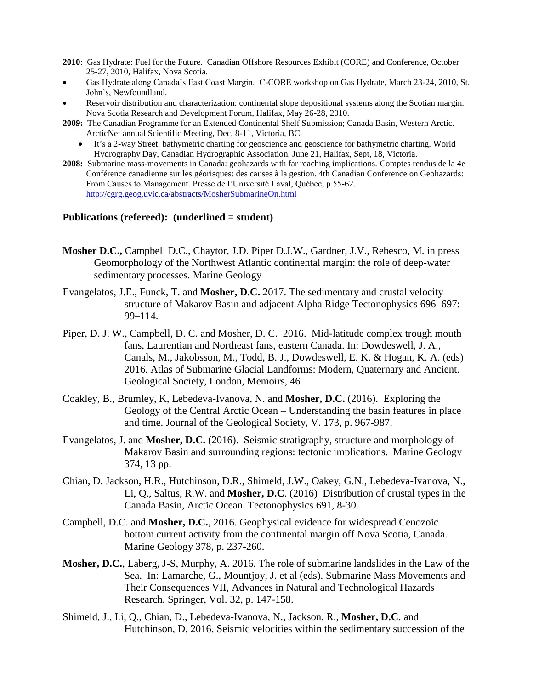- **2010**: Gas Hydrate: Fuel for the Future. Canadian Offshore Resources Exhibit (CORE) and Conference, October 25-27, 2010, Halifax, Nova Scotia.
- Gas Hydrate along Canada's East Coast Margin. C-CORE workshop on Gas Hydrate, March 23-24, 2010, St. John's, Newfoundland.
- Reservoir distribution and characterization: continental slope depositional systems along the Scotian margin. Nova Scotia Research and Development Forum, Halifax, May 26-28, 2010.
- **2009:** The Canadian Programme for an Extended Continental Shelf Submission; Canada Basin, Western Arctic. ArcticNet annual Scientific Meeting, Dec, 8-11, Victoria, BC.
	- It's a 2-way Street: bathymetric charting for geoscience and geoscience for bathymetric charting. World Hydrography Day, Canadian Hydrographic Association, June 21, Halifax, Sept, 18, Victoria.
- **2008:** Submarine mass-movements in Canada: geohazards with far reaching implications. Comptes rendus de la 4e Conférence canadienne sur les géorisques: des causes à la gestion. 4th Canadian Conference on Geohazards: From Causes to Management. Presse de l'Université Laval, Québec, p 55-62. <http://cgrg.geog.uvic.ca/abstracts/MosherSubmarineOn.html>

#### **Publications (refereed): (underlined = student)**

- **Mosher D.C.,** Campbell D.C., Chaytor, J.D. Piper D.J.W., Gardner, J.V., Rebesco, M. in press Geomorphology of the Northwest Atlantic continental margin: the role of deep-water sedimentary processes. Marine Geology
- Evangelatos, J.E., Funck, T. and **Mosher, D.C.** 2017. The sedimentary and crustal velocity structure of Makarov Basin and adjacent Alpha Ridge Tectonophysics 696–697: 99–114.
- Piper, D. J. W., Campbell, D. C. and Mosher, D. C. 2016. Mid-latitude complex trough mouth fans, Laurentian and Northeast fans, eastern Canada. In: Dowdeswell, J. A., Canals, M., Jakobsson, M., Todd, B. J., Dowdeswell, E. K. & Hogan, K. A. (eds) 2016. Atlas of Submarine Glacial Landforms: Modern, Quaternary and Ancient. Geological Society, London, Memoirs, 46
- Coakley, B., Brumley, K, Lebedeva-Ivanova, N. and **Mosher, D.C.** (2016). Exploring the Geology of the Central Arctic Ocean – Understanding the basin features in place and time. Journal of the Geological Society, V. 173, p. 967-987.
- Evangelatos, J. and **Mosher, D.C.** (2016). Seismic stratigraphy, structure and morphology of Makarov Basin and surrounding regions: tectonic implications. Marine Geology 374, 13 pp.
- Chian, D. Jackson, H.R., Hutchinson, D.R., Shimeld, J.W., Oakey, G.N., Lebedeva-Ivanova, N., Li, Q., Saltus, R.W. and **Mosher, D.C**. (2016) Distribution of crustal types in the Canada Basin, Arctic Ocean. Tectonophysics 691, 8-30.
- Campbell, D.C. and **Mosher, D.C.**, 2016. Geophysical evidence for widespread Cenozoic bottom current activity from the continental margin off Nova Scotia, Canada. Marine Geology 378, p. 237-260.
- **Mosher, D.C.**, Laberg, J-S, Murphy, A. 2016. The role of submarine landslides in the Law of the Sea. In: Lamarche, G., Mountjoy, J. et al (eds). Submarine Mass Movements and Their Consequences VII, Advances in Natural and Technological Hazards Research, Springer, Vol. 32, p. 147-158.
- Shimeld, J., Li, Q., Chian, D., Lebedeva-Ivanova, N., Jackson, R., **Mosher, D.C**. and Hutchinson, D. 2016. Seismic velocities within the sedimentary succession of the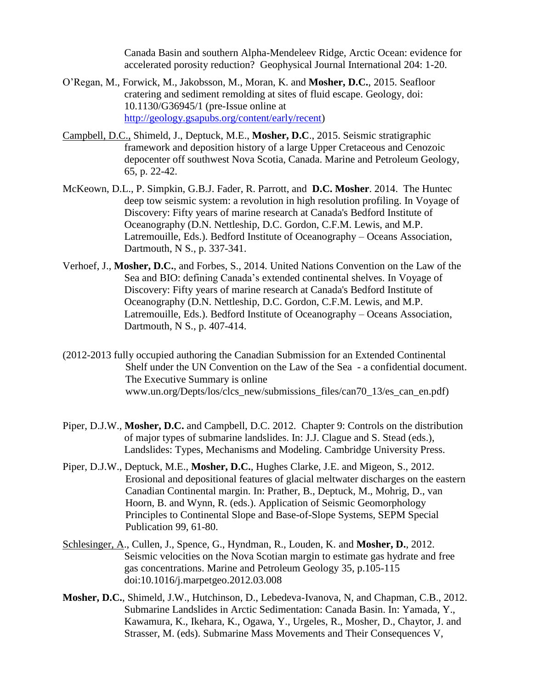Canada Basin and southern Alpha-Mendeleev Ridge, Arctic Ocean: evidence for accelerated porosity reduction? Geophysical Journal International 204: 1-20.

- O'Regan, M., Forwick, M., Jakobsson, M., Moran, K. and **Mosher, D.C.**, 2015. Seafloor cratering and sediment remolding at sites of fluid escape. Geology, doi: 10.1130/G36945/1 (pre-Issue online at [http://geology.gsapubs.org/content/early/recent\)](http://geology.gsapubs.org/content/early/recent)
- Campbell, D.C., Shimeld, J., Deptuck, M.E., **Mosher, D.C**., 2015. Seismic stratigraphic framework and deposition history of a large Upper Cretaceous and Cenozoic depocenter off southwest Nova Scotia, Canada. Marine and Petroleum Geology, 65, p. 22-42.
- McKeown, D.L., P. Simpkin, G.B.J. Fader, R. Parrott, and **D.C. Mosher**. 2014. The Huntec deep tow seismic system: a revolution in high resolution profiling. In Voyage of Discovery: Fifty years of marine research at Canada's Bedford Institute of Oceanography (D.N. Nettleship, D.C. Gordon, C.F.M. Lewis, and M.P. Latremouille, Eds.). Bedford Institute of Oceanography – Oceans Association, Dartmouth, N S., p. 337-341.
- Verhoef, J., **Mosher, D.C.**, and Forbes, S., 2014. United Nations Convention on the Law of the Sea and BIO: defining Canada's extended continental shelves. In Voyage of Discovery: Fifty years of marine research at Canada's Bedford Institute of Oceanography (D.N. Nettleship, D.C. Gordon, C.F.M. Lewis, and M.P. Latremouille, Eds.). Bedford Institute of Oceanography – Oceans Association, Dartmouth, N S., p. 407-414.
- (2012-2013 fully occupied authoring the Canadian Submission for an Extended Continental Shelf under the UN Convention on the Law of the Sea - a confidential document. The Executive Summary is online www.un.org/Depts/los/clcs\_new/submissions\_files/can70\_13/es\_can\_en.pdf)
- Piper, D.J.W., **Mosher, D.C.** and Campbell, D.C. 2012. Chapter 9: Controls on the distribution of major types of submarine landslides. In: J.J. Clague and S. Stead (eds.), Landslides: Types, Mechanisms and Modeling. Cambridge University Press.
- Piper, D.J.W., Deptuck, M.E., **Mosher, D.C.**, Hughes Clarke, J.E. and Migeon, S., 2012. Erosional and depositional features of glacial meltwater discharges on the eastern Canadian Continental margin. In: Prather, B., Deptuck, M., Mohrig, D., van Hoorn, B. and Wynn, R. (eds.). Application of Seismic Geomorphology Principles to Continental Slope and Base-of-Slope Systems, SEPM Special Publication 99, 61-80.
- Schlesinger, A., Cullen, J., Spence, G., Hyndman, R., Louden, K. and **Mosher, D.**, 2012. Seismic velocities on the Nova Scotian margin to estimate gas hydrate and free gas concentrations. Marine and Petroleum Geology 35, p.105-115 doi:10.1016/j.marpetgeo.2012.03.008
- **Mosher, D.C.**, Shimeld, J.W., Hutchinson, D., Lebedeva-Ivanova, N, and Chapman, C.B., 2012. Submarine Landslides in Arctic Sedimentation: Canada Basin. In: Yamada, Y., Kawamura, K., Ikehara, K., Ogawa, Y., Urgeles, R., Mosher, D., Chaytor, J. and Strasser, M. (eds). Submarine Mass Movements and Their Consequences V,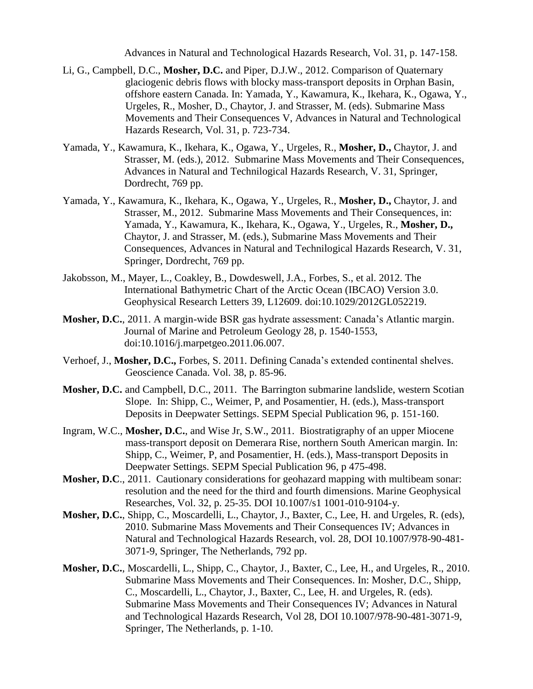Advances in Natural and Technological Hazards Research, Vol. 31, p. 147-158.

- Li, G., Campbell, D.C., **Mosher, D.C.** and Piper, D.J.W., 2012. Comparison of Quaternary glaciogenic debris flows with blocky mass-transport deposits in Orphan Basin, offshore eastern Canada. In: Yamada, Y., Kawamura, K., Ikehara, K., Ogawa, Y., Urgeles, R., Mosher, D., Chaytor, J. and Strasser, M. (eds). Submarine Mass Movements and Their Consequences V, Advances in Natural and Technological Hazards Research, Vol. 31, p. 723-734.
- Yamada, Y., Kawamura, K., Ikehara, K., Ogawa, Y., Urgeles, R., **Mosher, D.,** Chaytor, J. and Strasser, M. (eds.), 2012. Submarine Mass Movements and Their Consequences, Advances in Natural and Technilogical Hazards Research, V. 31, Springer, Dordrecht, 769 pp.
- Yamada, Y., Kawamura, K., Ikehara, K., Ogawa, Y., Urgeles, R., **Mosher, D.,** Chaytor, J. and Strasser, M., 2012. Submarine Mass Movements and Their Consequences, in: Yamada, Y., Kawamura, K., Ikehara, K., Ogawa, Y., Urgeles, R., **Mosher, D.,** Chaytor, J. and Strasser, M. (eds.), Submarine Mass Movements and Their Consequences, Advances in Natural and Technilogical Hazards Research, V. 31, Springer, Dordrecht, 769 pp.
- Jakobsson, M., Mayer, L., Coakley, B., Dowdeswell, J.A., Forbes, S., et al. 2012. The International Bathymetric Chart of the Arctic Ocean (IBCAO) Version 3.0. Geophysical Research Letters 39, L12609. doi:10.1029/2012GL052219.
- **Mosher, D.C.**, 2011. A margin-wide BSR gas hydrate assessment: Canada's Atlantic margin. Journal of Marine and Petroleum Geology 28, p. 1540-1553, doi:10.1016/j.marpetgeo.2011.06.007.
- Verhoef, J., **Mosher, D.C.,** Forbes, S. 2011. Defining Canada's extended continental shelves. Geoscience Canada. Vol. 38, p. 85-96.
- **Mosher, D.C.** and Campbell, D.C., 2011. The Barrington submarine landslide, western Scotian Slope. In: Shipp, C., Weimer, P, and Posamentier, H. (eds.), Mass-transport Deposits in Deepwater Settings. SEPM Special Publication 96, p. 151-160.
- Ingram, W.C., **Mosher, D.C.**, and Wise Jr, S.W., 2011. Biostratigraphy of an upper Miocene mass-transport deposit on Demerara Rise, northern South American margin. In: Shipp, C., Weimer, P, and Posamentier, H. (eds.), Mass-transport Deposits in Deepwater Settings. SEPM Special Publication 96, p 475-498.
- **Mosher, D.C**., 2011. Cautionary considerations for geohazard mapping with multibeam sonar: resolution and the need for the third and fourth dimensions. Marine Geophysical Researches, Vol. 32, p. 25-35. DOI 10.1007/s1 1001-010-9104-y.
- **Mosher, D.C.**, Shipp, C., Moscardelli, L., Chaytor, J., Baxter, C., Lee, H. and Urgeles, R. (eds), 2010. Submarine Mass Movements and Their Consequences IV; Advances in Natural and Technological Hazards Research, vol. 28, DOI 10.1007/978-90-481- 3071-9, Springer, The Netherlands, 792 pp.
- **Mosher, D.C.**, Moscardelli, L., Shipp, C., Chaytor, J., Baxter, C., Lee, H., and Urgeles, R., 2010. Submarine Mass Movements and Their Consequences. In: Mosher, D.C., Shipp, C., Moscardelli, L., Chaytor, J., Baxter, C., Lee, H. and Urgeles, R. (eds). Submarine Mass Movements and Their Consequences IV; Advances in Natural and Technological Hazards Research, Vol 28, DOI 10.1007/978-90-481-3071-9, Springer, The Netherlands, p. 1-10.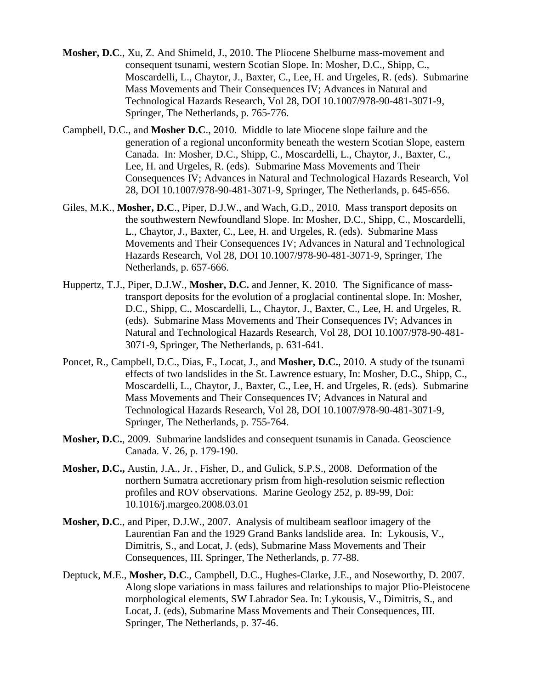- **Mosher, D.C**., Xu, Z. And Shimeld, J., 2010. The Pliocene Shelburne mass-movement and consequent tsunami, western Scotian Slope. In: Mosher, D.C., Shipp, C., Moscardelli, L., Chaytor, J., Baxter, C., Lee, H. and Urgeles, R. (eds). Submarine Mass Movements and Their Consequences IV; Advances in Natural and Technological Hazards Research, Vol 28, DOI 10.1007/978-90-481-3071-9, Springer, The Netherlands, p. 765-776.
- Campbell, D.C., and **Mosher D.C**., 2010. Middle to late Miocene slope failure and the generation of a regional unconformity beneath the western Scotian Slope, eastern Canada. In: Mosher, D.C., Shipp, C., Moscardelli, L., Chaytor, J., Baxter, C., Lee, H. and Urgeles, R. (eds). Submarine Mass Movements and Their Consequences IV; Advances in Natural and Technological Hazards Research, Vol 28, DOI 10.1007/978-90-481-3071-9, Springer, The Netherlands, p. 645-656.
- Giles, M.K., **Mosher, D.C**., Piper, D.J.W., and Wach, G.D., 2010. Mass transport deposits on the southwestern Newfoundland Slope. In: Mosher, D.C., Shipp, C., Moscardelli, L., Chaytor, J., Baxter, C., Lee, H. and Urgeles, R. (eds). Submarine Mass Movements and Their Consequences IV; Advances in Natural and Technological Hazards Research, Vol 28, DOI 10.1007/978-90-481-3071-9, Springer, The Netherlands, p. 657-666.
- Huppertz, T.J., Piper, D.J.W., **Mosher, D.C.** and Jenner, K. 2010. The Significance of masstransport deposits for the evolution of a proglacial continental slope. In: Mosher, D.C., Shipp, C., Moscardelli, L., Chaytor, J., Baxter, C., Lee, H. and Urgeles, R. (eds). Submarine Mass Movements and Their Consequences IV; Advances in Natural and Technological Hazards Research, Vol 28, DOI 10.1007/978-90-481- 3071-9, Springer, The Netherlands, p. 631-641.
- Poncet, R., Campbell, D.C., Dias, F., Locat, J., and **Mosher, D.C.**, 2010. A study of the tsunami effects of two landslides in the St. Lawrence estuary, In: Mosher, D.C., Shipp, C., Moscardelli, L., Chaytor, J., Baxter, C., Lee, H. and Urgeles, R. (eds). Submarine Mass Movements and Their Consequences IV; Advances in Natural and Technological Hazards Research, Vol 28, DOI 10.1007/978-90-481-3071-9, Springer, The Netherlands, p. 755-764.
- **Mosher, D.C.**, 2009. Submarine landslides and consequent tsunamis in Canada. Geoscience Canada. V. 26, p. 179-190.
- **Mosher, D.C.,** Austin, J.A., Jr. , Fisher, D., and Gulick, S.P.S., 2008. Deformation of the northern Sumatra accretionary prism from high-resolution seismic reflection profiles and ROV observations. Marine Geology 252, p. 89-99, Doi: 10.1016/j.margeo.2008.03.01
- **Mosher, D.C**., and Piper, D.J.W., 2007. Analysis of multibeam seafloor imagery of the Laurentian Fan and the 1929 Grand Banks landslide area. In: Lykousis, V., Dimitris, S., and Locat, J. (eds), Submarine Mass Movements and Their Consequences, III. Springer, The Netherlands, p. 77-88.
- Deptuck, M.E., **Mosher, D.C**., Campbell, D.C., Hughes-Clarke, J.E., and Noseworthy, D. 2007. Along slope variations in mass failures and relationships to major Plio-Pleistocene morphological elements, SW Labrador Sea. In: Lykousis, V., Dimitris, S., and Locat, J. (eds), Submarine Mass Movements and Their Consequences, III. Springer, The Netherlands, p. 37-46.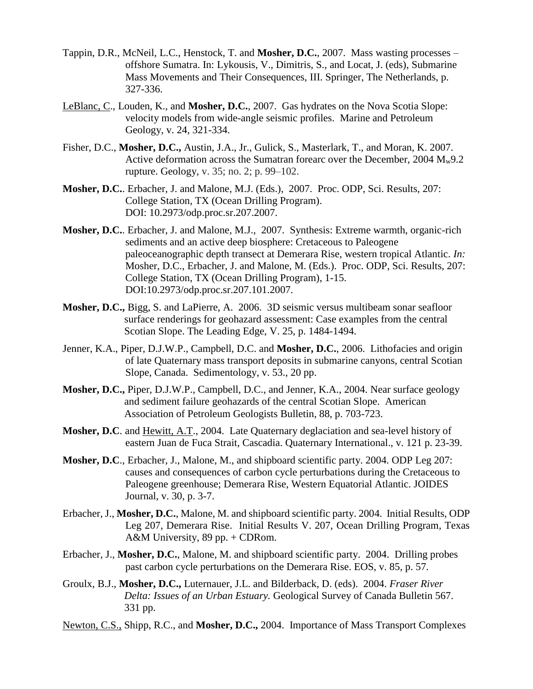- Tappin, D.R., McNeil, L.C., Henstock, T. and **Mosher, D.C.**, 2007. Mass wasting processes offshore Sumatra. In: Lykousis, V., Dimitris, S., and Locat, J. (eds), Submarine Mass Movements and Their Consequences, III. Springer, The Netherlands, p. 327-336.
- LeBlanc, C., Louden, K., and **Mosher, D.C.**, 2007. Gas hydrates on the Nova Scotia Slope: velocity models from wide-angle seismic profiles. Marine and Petroleum Geology, v. 24, 321-334.
- Fisher, D.C., **Mosher, D.C.,** Austin, J.A., Jr., Gulick, S., Masterlark, T., and Moran, K. 2007. Active deformation across the Sumatran forearc over the December, 2004  $M_w$ 9.2 rupture. Geology, v. 35; no. 2; p. 99–102.
- **Mosher, D.C.**. Erbacher, J. and Malone, M.J. (Eds.), 2007. Proc. ODP, Sci. Results, 207: College Station, TX (Ocean Drilling Program). DOI: 10.2973/odp.proc.sr.207.2007.
- **Mosher, D.C.**. Erbacher, J. and Malone, M.J., 2007. Synthesis: Extreme warmth, organic-rich sediments and an active deep biosphere: Cretaceous to Paleogene paleoceanographic depth transect at Demerara Rise, western tropical Atlantic. *In:* Mosher, D.C., Erbacher, J. and Malone, M. (Eds.). Proc. ODP, Sci. Results, 207: College Station, TX (Ocean Drilling Program), 1-15. DOI:10.2973/odp.proc.sr.207.101.2007.
- **Mosher, D.C.,** Bigg, S. and LaPierre, A. 2006. 3D seismic versus multibeam sonar seafloor surface renderings for geohazard assessment: Case examples from the central Scotian Slope. The Leading Edge, V. 25, p. 1484-1494.
- Jenner, K.A., Piper, D.J.W.P., Campbell, D.C. and **Mosher, D.C.**, 2006. Lithofacies and origin of late Quaternary mass transport deposits in submarine canyons, central Scotian Slope, Canada. Sedimentology, v. 53., 20 pp.
- **Mosher, D.C.,** Piper, D.J.W.P., Campbell, D.C., and Jenner, K.A., 2004. Near surface geology and sediment failure geohazards of the central Scotian Slope. American Association of Petroleum Geologists Bulletin, 88, p. 703-723.
- **Mosher, D.C**. and Hewitt, A.T., 2004. Late Quaternary deglaciation and sea-level history of eastern Juan de Fuca Strait, Cascadia. Quaternary International., v. 121 p. 23-39.
- **Mosher, D.C**., Erbacher, J., Malone, M., and shipboard scientific party. 2004. ODP Leg 207: causes and consequences of carbon cycle perturbations during the Cretaceous to Paleogene greenhouse; Demerara Rise, Western Equatorial Atlantic. JOIDES Journal, v. 30, p. 3-7.
- Erbacher, J., **Mosher, D.C.**, Malone, M. and shipboard scientific party. 2004. Initial Results, ODP Leg 207, Demerara Rise. Initial Results V. 207, Ocean Drilling Program, Texas A&M University, 89 pp. + CDRom.
- Erbacher, J., **Mosher, D.C.**, Malone, M. and shipboard scientific party. 2004. Drilling probes past carbon cycle perturbations on the Demerara Rise. EOS, v. 85, p. 57.
- Groulx, B.J., **Mosher, D.C.,** Luternauer, J.L. and Bilderback, D. (eds). 2004. *Fraser River Delta: Issues of an Urban Estuary.* Geological Survey of Canada Bulletin 567. 331 pp.
- Newton, C.S., Shipp, R.C., and **Mosher, D.C.,** 2004. Importance of Mass Transport Complexes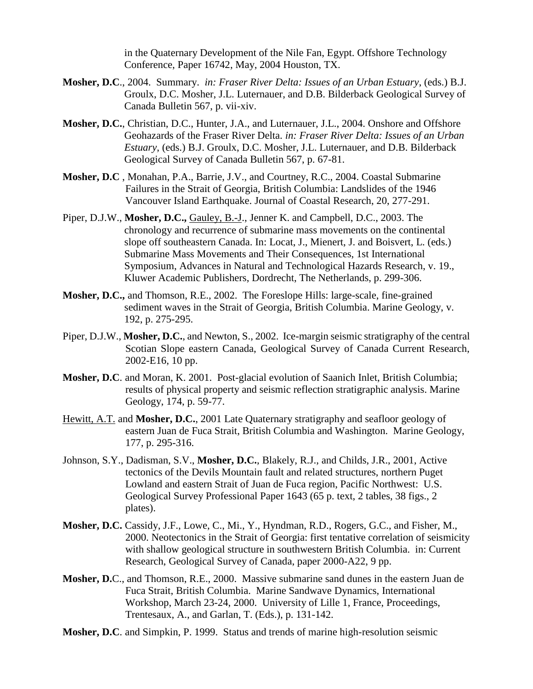in the Quaternary Development of the Nile Fan, Egypt. Offshore Technology Conference, Paper 16742, May, 2004 Houston, TX.

- **Mosher, D.C**., 2004. Summary. *in: Fraser River Delta: Issues of an Urban Estuary*, (eds.) B.J. Groulx, D.C. Mosher, J.L. Luternauer, and D.B. Bilderback Geological Survey of Canada Bulletin 567, p. vii-xiv.
- **Mosher, D.C.**, Christian, D.C., Hunter, J.A., and Luternauer, J.L., 2004. Onshore and Offshore Geohazards of the Fraser River Delta. *in: Fraser River Delta: Issues of an Urban Estuary*, (eds.) B.J. Groulx, D.C. Mosher, J.L. Luternauer, and D.B. Bilderback Geological Survey of Canada Bulletin 567, p. 67-81.
- **Mosher, D.C** , Monahan, P.A., Barrie, J.V., and Courtney, R.C., 2004. Coastal Submarine Failures in the Strait of Georgia, British Columbia: Landslides of the 1946 Vancouver Island Earthquake. Journal of Coastal Research, 20, 277-291.
- Piper, D.J.W., **Mosher, D.C.,** Gauley, B.-J., Jenner K. and Campbell, D.C., 2003. The chronology and recurrence of submarine mass movements on the continental slope off southeastern Canada. In: Locat, J., Mienert, J. and Boisvert, L. (eds.) Submarine Mass Movements and Their Consequences, 1st International Symposium, Advances in Natural and Technological Hazards Research, v. 19., Kluwer Academic Publishers, Dordrecht, The Netherlands, p. 299-306.
- **Mosher, D.C.,** and Thomson, R.E., 2002. The Foreslope Hills: large-scale, fine-grained sediment waves in the Strait of Georgia, British Columbia. Marine Geology, v. 192, p. 275-295.
- Piper, D.J.W., **Mosher, D.C.**, and Newton, S., 2002. Ice-margin seismic stratigraphy of the central Scotian Slope eastern Canada, Geological Survey of Canada Current Research, 2002-E16, 10 pp.
- **Mosher, D.C**. and Moran, K. 2001. Post-glacial evolution of Saanich Inlet, British Columbia; results of physical property and seismic reflection stratigraphic analysis. Marine Geology, 174, p. 59-77.
- Hewitt, A.T. and **Mosher, D.C.**, 2001 Late Quaternary stratigraphy and seafloor geology of eastern Juan de Fuca Strait, British Columbia and Washington. Marine Geology, 177, p. 295-316.
- Johnson, S.Y., Dadisman, S.V., **Mosher, D.C.**, Blakely, R.J., and Childs, J.R., 2001, Active tectonics of the Devils Mountain fault and related structures, northern Puget Lowland and eastern Strait of Juan de Fuca region, Pacific Northwest: U.S. Geological Survey Professional Paper 1643 (65 p. text, 2 tables, 38 figs., 2 plates).
- **Mosher, D.C.** Cassidy, J.F., Lowe, C., Mi., Y., Hyndman, R.D., Rogers, G.C., and Fisher, M., 2000. Neotectonics in the Strait of Georgia: first tentative correlation of seismicity with shallow geological structure in southwestern British Columbia. in: Current Research, Geological Survey of Canada, paper 2000-A22, 9 pp.
- **Mosher, D.**C., and Thomson, R.E., 2000. Massive submarine sand dunes in the eastern Juan de Fuca Strait, British Columbia. Marine Sandwave Dynamics, International Workshop, March 23-24, 2000. University of Lille 1, France, Proceedings, Trentesaux, A., and Garlan, T. (Eds.), p. 131-142.
- **Mosher, D.C**. and Simpkin, P. 1999. Status and trends of marine high-resolution seismic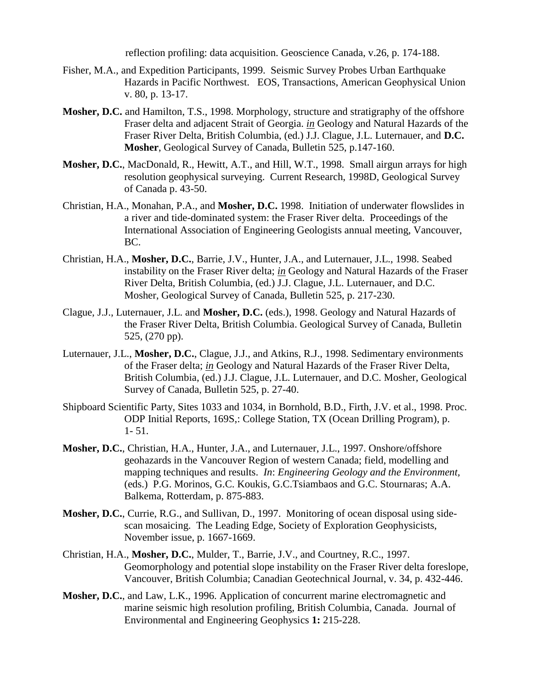reflection profiling: data acquisition. Geoscience Canada, v.26, p. 174-188.

- Fisher, M.A., and Expedition Participants, 1999. Seismic Survey Probes Urban Earthquake Hazards in Pacific Northwest. EOS, Transactions, American Geophysical Union v. 80, p. 13-17.
- **Mosher, D.C.** and Hamilton, T.S., 1998. Morphology, structure and stratigraphy of the offshore Fraser delta and adjacent Strait of Georgia. *in* Geology and Natural Hazards of the Fraser River Delta, British Columbia, (ed.) J.J. Clague, J.L. Luternauer, and **D.C. Mosher**, Geological Survey of Canada, Bulletin 525, p.147-160.
- **Mosher, D.C.**, MacDonald, R., Hewitt, A.T., and Hill, W.T., 1998. Small airgun arrays for high resolution geophysical surveying. Current Research, 1998D, Geological Survey of Canada p. 43-50.
- Christian, H.A., Monahan, P.A., and **Mosher, D.C.** 1998. Initiation of underwater flowslides in a river and tide-dominated system: the Fraser River delta. Proceedings of the International Association of Engineering Geologists annual meeting, Vancouver, BC.
- Christian, H.A., **Mosher, D.C.**, Barrie, J.V., Hunter, J.A., and Luternauer, J.L., 1998. Seabed instability on the Fraser River delta; *in* Geology and Natural Hazards of the Fraser River Delta, British Columbia, (ed.) J.J. Clague, J.L. Luternauer, and D.C. Mosher, Geological Survey of Canada, Bulletin 525, p. 217-230.
- Clague, J.J., Luternauer, J.L. and **Mosher, D.C.** (eds.), 1998. Geology and Natural Hazards of the Fraser River Delta, British Columbia. Geological Survey of Canada, Bulletin 525, (270 pp).
- Luternauer, J.L., **Mosher, D.C.**, Clague, J.J., and Atkins, R.J., 1998. Sedimentary environments of the Fraser delta; *in* Geology and Natural Hazards of the Fraser River Delta, British Columbia, (ed.) J.J. Clague, J.L. Luternauer, and D.C. Mosher, Geological Survey of Canada, Bulletin 525, p. 27-40.
- Shipboard Scientific Party, Sites 1033 and 1034, in Bornhold, B.D., Firth, J.V. et al., 1998. Proc. ODP Initial Reports, 169S,: College Station, TX (Ocean Drilling Program), p. 1- 51.
- **Mosher, D.C.**, Christian, H.A., Hunter, J.A., and Luternauer, J.L., 1997. Onshore/offshore geohazards in the Vancouver Region of western Canada; field, modelling and mapping techniques and results. *In*: *Engineering Geology and the Environment,*  (eds.) P.G. Morinos, G.C. Koukis, G.C.Tsiambaos and G.C. Stournaras; A.A. Balkema, Rotterdam, p. 875-883.
- **Mosher, D.C.**, Currie, R.G., and Sullivan, D., 1997. Monitoring of ocean disposal using sidescan mosaicing. The Leading Edge, Society of Exploration Geophysicists, November issue, p. 1667-1669.
- Christian, H.A., **Mosher, D.C.**, Mulder, T., Barrie, J.V., and Courtney, R.C., 1997. Geomorphology and potential slope instability on the Fraser River delta foreslope, Vancouver, British Columbia; Canadian Geotechnical Journal, v. 34, p. 432-446.
- **Mosher, D.C.**, and Law, L.K., 1996. Application of concurrent marine electromagnetic and marine seismic high resolution profiling, British Columbia, Canada. Journal of Environmental and Engineering Geophysics **1:** 215-228.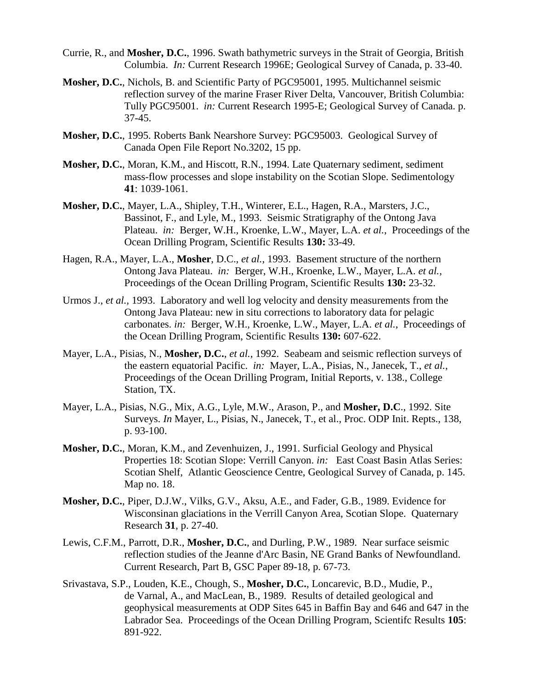- Currie, R., and **Mosher, D.C.**, 1996. Swath bathymetric surveys in the Strait of Georgia, British Columbia. *In:* Current Research 1996E; Geological Survey of Canada, p. 33-40.
- **Mosher, D.C.**, Nichols, B. and Scientific Party of PGC95001, 1995. Multichannel seismic reflection survey of the marine Fraser River Delta, Vancouver, British Columbia: Tully PGC95001. *in:* Current Research 1995-E; Geological Survey of Canada. p. 37-45.
- **Mosher, D.C.**, 1995. Roberts Bank Nearshore Survey: PGC95003. Geological Survey of Canada Open File Report No.3202, 15 pp.
- **Mosher, D.C.**, Moran, K.M., and Hiscott, R.N., 1994. Late Quaternary sediment, sediment mass-flow processes and slope instability on the Scotian Slope. Sedimentology **41**: 1039-1061.
- **Mosher, D.C.**, Mayer, L.A., Shipley, T.H., Winterer, E.L., Hagen, R.A., Marsters, J.C., Bassinot, F., and Lyle, M., 1993. Seismic Stratigraphy of the Ontong Java Plateau. *in:* Berger, W.H., Kroenke, L.W., Mayer, L.A. *et al.*, Proceedings of the Ocean Drilling Program, Scientific Results **130:** 33-49.
- Hagen, R.A., Mayer, L.A., **Mosher**, D.C., *et al.*, 1993. Basement structure of the northern Ontong Java Plateau. *in:* Berger, W.H., Kroenke, L.W., Mayer, L.A. *et al.*, Proceedings of the Ocean Drilling Program, Scientific Results **130:** 23-32.
- Urmos J., *et al.,* 1993. Laboratory and well log velocity and density measurements from the Ontong Java Plateau: new in situ corrections to laboratory data for pelagic carbonates. *in:* Berger, W.H., Kroenke, L.W., Mayer, L.A. *et al.*, Proceedings of the Ocean Drilling Program, Scientific Results **130:** 607-622.
- Mayer, L.A., Pisias, N., **Mosher, D.C.**, *et al.*, 1992. Seabeam and seismic reflection surveys of the eastern equatorial Pacific. *in:* Mayer, L.A., Pisias, N., Janecek, T., *et al.*, Proceedings of the Ocean Drilling Program, Initial Reports, v. 138., College Station, TX.
- Mayer, L.A., Pisias, N.G., Mix, A.G., Lyle, M.W., Arason, P., and **Mosher, D.C**., 1992. Site Surveys. *In* Mayer, L., Pisias, N., Janecek, T., et al., Proc. ODP Init. Repts., 138, p. 93-100.
- **Mosher, D.C.**, Moran, K.M., and Zevenhuizen, J., 1991. Surficial Geology and Physical Properties 18: Scotian Slope: Verrill Canyon. *in:* East Coast Basin Atlas Series: Scotian Shelf, Atlantic Geoscience Centre, Geological Survey of Canada, p. 145. Map no. 18.
- **Mosher, D.C.**, Piper, D.J.W., Vilks, G.V., Aksu, A.E., and Fader, G.B., 1989. Evidence for Wisconsinan glaciations in the Verrill Canyon Area, Scotian Slope. Quaternary Research **31**, p. 27-40.
- Lewis, C.F.M., Parrott, D.R., **Mosher, D.C.**, and Durling, P.W., 1989. Near surface seismic reflection studies of the Jeanne d'Arc Basin, NE Grand Banks of Newfoundland. Current Research, Part B, GSC Paper 89-18, p. 67-73.
- Srivastava, S.P., Louden, K.E., Chough, S., **Mosher, D.C.**, Loncarevic, B.D., Mudie, P., de Varnal, A., and MacLean, B., 1989. Results of detailed geological and geophysical measurements at ODP Sites 645 in Baffin Bay and 646 and 647 in the Labrador Sea. Proceedings of the Ocean Drilling Program, Scientifc Results **105**: 891-922.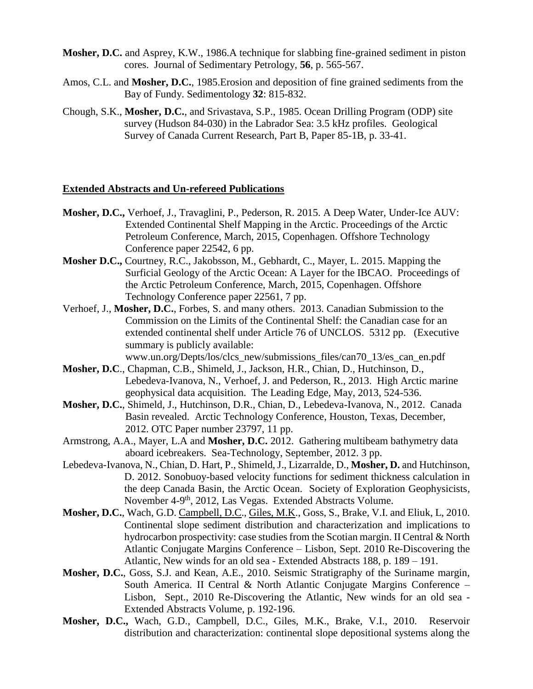- **Mosher, D.C.** and Asprey, K.W., 1986.A technique for slabbing fine-grained sediment in piston cores. Journal of Sedimentary Petrology, **56**, p. 565-567.
- Amos, C.L. and **Mosher, D.C.**, 1985.Erosion and deposition of fine grained sediments from the Bay of Fundy. Sedimentology **32**: 815-832.
- Chough, S.K., **Mosher, D.C.**, and Srivastava, S.P., 1985. Ocean Drilling Program (ODP) site survey (Hudson 84-030) in the Labrador Sea: 3.5 kHz profiles. Geological Survey of Canada Current Research, Part B, Paper 85-1B, p. 33-41.

#### **Extended Abstracts and Un-refereed Publications**

- **Mosher, D.C.,** Verhoef, J., Travaglini, P., Pederson, R. 2015. A Deep Water, Under-Ice AUV: Extended Continental Shelf Mapping in the Arctic. Proceedings of the Arctic Petroleum Conference, March, 2015, Copenhagen. Offshore Technology Conference paper 22542, 6 pp.
- **Mosher D.C.,** Courtney, R.C., Jakobsson, M., Gebhardt, C., Mayer, L. 2015. Mapping the Surficial Geology of the Arctic Ocean: A Layer for the IBCAO. Proceedings of the Arctic Petroleum Conference, March, 2015, Copenhagen. Offshore Technology Conference paper 22561, 7 pp.
- Verhoef, J., **Mosher, D.C.**, Forbes, S. and many others. 2013. Canadian Submission to the Commission on the Limits of the Continental Shelf: the Canadian case for an extended continental shelf under Article 76 of UNCLOS. 5312 pp. (Executive summary is publicly available:

www.un.org/Depts/los/clcs\_new/submissions\_files/can70\_13/es\_can\_en.pdf **Mosher, D.C**., Chapman, C.B., Shimeld, J., Jackson, H.R., Chian, D., Hutchinson, D.,

- Lebedeva-Ivanova, N., Verhoef, J. and Pederson, R., 2013. High Arctic marine geophysical data acquisition. The Leading Edge, May, 2013, 524-536.
- **Mosher, D.C.**, Shimeld, J., Hutchinson, D.R., Chian, D., Lebedeva-Ivanova, N., 2012. Canada Basin revealed. Arctic Technology Conference, Houston, Texas, December, 2012. OTC Paper number 23797, 11 pp.
- Armstrong, A.A., Mayer, L.A and **Mosher, D.C.** 2012. Gathering multibeam bathymetry data aboard icebreakers. Sea-Technology, September, 2012. 3 pp.
- Lebedeva-Ivanova, N., Chian, D. Hart, P., Shimeld, J., Lizarralde, D., **Mosher, D.** and Hutchinson, D. 2012. Sonobuoy-based velocity functions for sediment thickness calculation in the deep Canada Basin, the Arctic Ocean. Society of Exploration Geophysicists, November 4-9<sup>th</sup>, 2012, Las Vegas. Extended Abstracts Volume.
- **Mosher, D.C.**, Wach, G.D. Campbell, D.C., Giles, M.K., Goss, S., Brake, V.I. and Eliuk, L, 2010. Continental slope sediment distribution and characterization and implications to hydrocarbon prospectivity: case studies from the Scotian margin. II Central & North Atlantic Conjugate Margins Conference – Lisbon, Sept. 2010 Re-Discovering the Atlantic, New winds for an old sea - Extended Abstracts 188, p. 189 – 191.
- **Mosher, D.C.**, Goss, S.J. and Kean, A.E., 2010. Seismic Stratigraphy of the Suriname margin, South America. II Central & North Atlantic Conjugate Margins Conference – Lisbon, Sept., 2010 Re-Discovering the Atlantic, New winds for an old sea - Extended Abstracts Volume, p. 192-196.
- **Mosher, D.C.,** Wach, G.D., Campbell, D.C., Giles, M.K., Brake, V.I., 2010. Reservoir distribution and characterization: continental slope depositional systems along the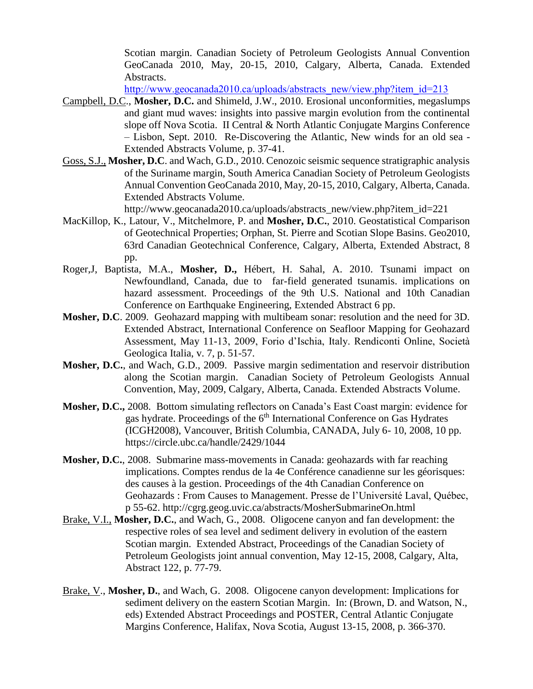Scotian margin. Canadian Society of Petroleum Geologists Annual Convention GeoCanada 2010, May, 20-15, 2010, Calgary, Alberta, Canada. Extended Abstracts.

[http://www.geocanada2010.ca/uploads/abstracts\\_new/view.php?item\\_id=213](http://www.geocanada2010.ca/uploads/abstracts_new/view.php?item_id=213)

- Campbell, D.C., **Mosher, D.C.** and Shimeld, J.W., 2010. Erosional unconformities, megaslumps and giant mud waves: insights into passive margin evolution from the continental slope off Nova Scotia. II Central & North Atlantic Conjugate Margins Conference – Lisbon, Sept. 2010. Re-Discovering the Atlantic, New winds for an old sea - Extended Abstracts Volume, p. 37-41.
- Goss, S.J., **Mosher, D.C**. and Wach, G.D., 2010. Cenozoic seismic sequence stratigraphic analysis of the Suriname margin, South America Canadian Society of Petroleum Geologists Annual Convention GeoCanada 2010, May, 20-15, 2010, Calgary, Alberta, Canada. Extended Abstracts Volume.

http://www.geocanada2010.ca/uploads/abstracts\_new/view.php?item\_id=221

- MacKillop, K., Latour, V., Mitchelmore, P. and **Mosher, D.C.**, 2010. Geostatistical Comparison of Geotechnical Properties; Orphan, St. Pierre and Scotian Slope Basins. Geo2010, 63rd Canadian Geotechnical Conference, Calgary, Alberta, Extended Abstract, 8 pp.
- Roger,J, Baptista, M.A., **Mosher, D.,** Hébert, H. Sahal, A. 2010. Tsunami impact on Newfoundland, Canada, due to far-field generated tsunamis. implications on hazard assessment. Proceedings of the 9th U.S. National and 10th Canadian Conference on Earthquake Engineering, Extended Abstract 6 pp.
- **Mosher, D.C**. 2009. Geohazard mapping with multibeam sonar: resolution and the need for 3D. Extended Abstract, International Conference on Seafloor Mapping for Geohazard Assessment, May 11-13, 2009, Forio d'Ischia, Italy. Rendiconti Online, Società Geologica Italia, v. 7, p. 51-57.
- **Mosher, D.C.**, and Wach, G.D., 2009. Passive margin sedimentation and reservoir distribution along the Scotian margin. Canadian Society of Petroleum Geologists Annual Convention, May, 2009, Calgary, Alberta, Canada. Extended Abstracts Volume.
- **Mosher, D.C.,** 2008.Bottom simulating reflectors on Canada's East Coast margin: evidence for gas hydrate. Proceedings of the 6<sup>th</sup> International Conference on Gas Hydrates (ICGH2008), Vancouver, British Columbia, CANADA, July 6- 10, 2008, 10 pp. https://circle.ubc.ca/handle/2429/1044
- **Mosher, D.C.**, 2008. Submarine mass-movements in Canada: geohazards with far reaching implications. Comptes rendus de la 4e Conférence canadienne sur les géorisques: des causes à la gestion. Proceedings of the 4th Canadian Conference on Geohazards : From Causes to Management. Presse de l'Université Laval, Québec, p 55-62. http://cgrg.geog.uvic.ca/abstracts/MosherSubmarineOn.html
- Brake, V.I., **Mosher, D.C.**, and Wach, G., 2008. Oligocene canyon and fan development: the respective roles of sea level and sediment delivery in evolution of the eastern Scotian margin. Extended Abstract, Proceedings of the Canadian Society of Petroleum Geologists joint annual convention, May 12-15, 2008, Calgary, Alta, Abstract 122, p. 77-79.
- Brake, V., **Mosher, D.**, and Wach, G. 2008. Oligocene canyon development: Implications for sediment delivery on the eastern Scotian Margin. In: (Brown, D. and Watson, N., eds) Extended Abstract Proceedings and POSTER, Central Atlantic Conjugate Margins Conference, Halifax, Nova Scotia, August 13-15, 2008, p. 366-370.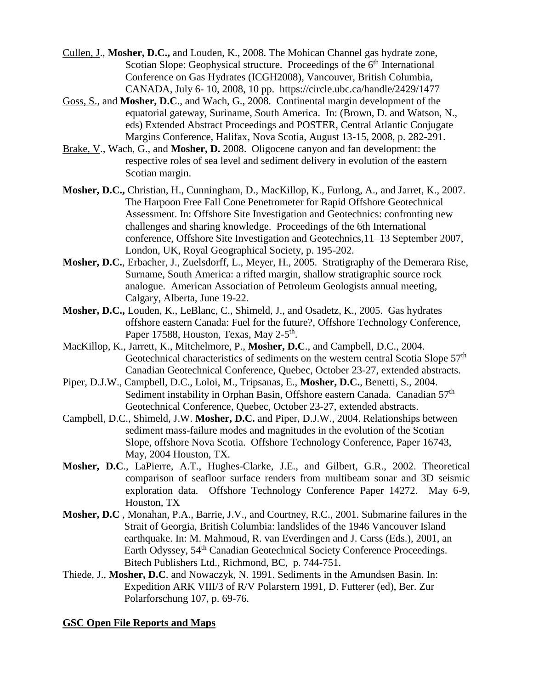- Cullen, J., **Mosher, D.C.,** and Louden, K., 2008. The Mohican Channel gas hydrate zone, Scotian Slope: Geophysical structure. Proceedings of the  $6<sup>th</sup>$  International Conference on Gas Hydrates (ICGH2008), Vancouver, British Columbia, CANADA, July 6- 10, 2008, 10 pp. https://circle.ubc.ca/handle/2429/1477
- Goss, S., and **Mosher, D.C**., and Wach, G., 2008. Continental margin development of the equatorial gateway, Suriname, South America. In: (Brown, D. and Watson, N., eds) Extended Abstract Proceedings and POSTER, Central Atlantic Conjugate Margins Conference, Halifax, Nova Scotia, August 13-15, 2008, p. 282-291.
- Brake, V., Wach, G., and **Mosher, D.** 2008. Oligocene canyon and fan development: the respective roles of sea level and sediment delivery in evolution of the eastern Scotian margin.
- **Mosher, D.C.,** Christian, H., Cunningham, D., MacKillop, K., Furlong, A., and Jarret, K., 2007. The Harpoon Free Fall Cone Penetrometer for Rapid Offshore Geotechnical Assessment. In: Offshore Site Investigation and Geotechnics: confronting new challenges and sharing knowledge. Proceedings of the 6th International conference, Offshore Site Investigation and Geotechnics,11–13 September 2007, London, UK, Royal Geographical Society, p. 195-202.
- **Mosher, D.C.**, Erbacher, J., Zuelsdorff, L., Meyer, H., 2005. Stratigraphy of the Demerara Rise, Surname, South America: a rifted margin, shallow stratigraphic source rock analogue. American Association of Petroleum Geologists annual meeting, Calgary, Alberta, June 19-22.
- **Mosher, D.C.,** Louden, K., LeBlanc, C., Shimeld, J., and Osadetz, K., 2005. Gas hydrates offshore eastern Canada: Fuel for the future?, Offshore Technology Conference, Paper 17588, Houston, Texas, May 2-5<sup>th</sup>.
- MacKillop, K., Jarrett, K., Mitchelmore, P., **Mosher, D.C**., and Campbell, D.C., 2004. Geotechnical characteristics of sediments on the western central Scotia Slope 57<sup>th</sup> Canadian Geotechnical Conference, Quebec, October 23-27, extended abstracts.
- Piper, D.J.W., Campbell, D.C., Loloi, M., Tripsanas, E., **Mosher, D.C.**, Benetti, S., 2004. Sediment instability in Orphan Basin, Offshore eastern Canada. Canadian 57<sup>th</sup> Geotechnical Conference, Quebec, October 23-27, extended abstracts.
- Campbell, D.C., Shimeld, J.W. **Mosher, D.C.** and Piper, D.J.W., 2004. Relationships between sediment mass-failure modes and magnitudes in the evolution of the Scotian Slope, offshore Nova Scotia. Offshore Technology Conference, Paper 16743, May, 2004 Houston, TX.
- **Mosher, D.C**., LaPierre, A.T., Hughes-Clarke, J.E., and Gilbert, G.R., 2002. Theoretical comparison of seafloor surface renders from multibeam sonar and 3D seismic exploration data. Offshore Technology Conference Paper 14272. May 6-9, Houston, TX
- **Mosher, D.C** , Monahan, P.A., Barrie, J.V., and Courtney, R.C., 2001. Submarine failures in the Strait of Georgia, British Columbia: landslides of the 1946 Vancouver Island earthquake. In: M. Mahmoud, R. van Everdingen and J. Carss (Eds.), 2001, an Earth Odyssey, 54<sup>th</sup> Canadian Geotechnical Society Conference Proceedings. Bitech Publishers Ltd., Richmond, BC, p. 744-751.
- Thiede, J., **Mosher, D.C**. and Nowaczyk, N. 1991. Sediments in the Amundsen Basin. In: Expedition ARK VIII/3 of R/V Polarstern 1991, D. Futterer (ed), Ber. Zur Polarforschung 107, p. 69-76.

### **GSC Open File Reports and Maps**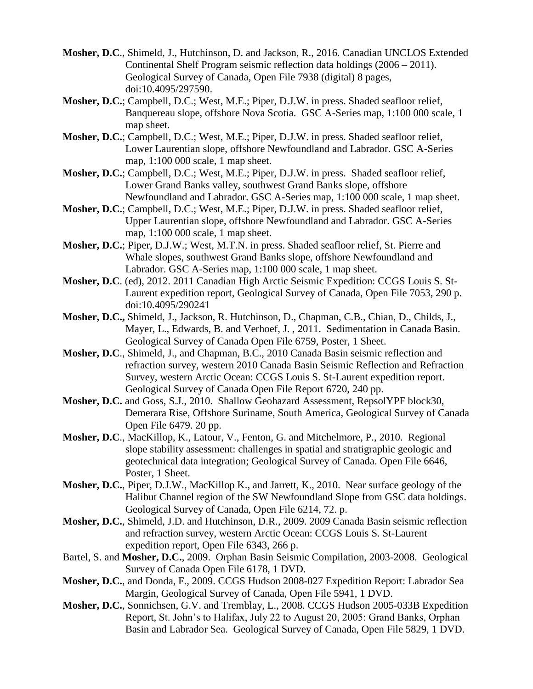- **Mosher, D.C**., Shimeld, J., Hutchinson, D. and Jackson, R., 2016. Canadian UNCLOS Extended Continental Shelf Program seismic reflection data holdings (2006 – 2011). Geological Survey of Canada, Open File 7938 (digital) 8 pages, doi:10.4095/297590.
- **Mosher, D.C.**; Campbell, D.C.; West, M.E.; Piper, D.J.W. in press. Shaded seafloor relief, Banquereau slope, offshore Nova Scotia. GSC A-Series map, 1:100 000 scale, 1 map sheet.
- **Mosher, D.C.**; Campbell, D.C.; West, M.E.; Piper, D.J.W. in press. Shaded seafloor relief, Lower Laurentian slope, offshore Newfoundland and Labrador. GSC A-Series map, 1:100 000 scale, 1 map sheet.
- **Mosher, D.C.**; Campbell, D.C.; West, M.E.; Piper, D.J.W. in press. Shaded seafloor relief, Lower Grand Banks valley, southwest Grand Banks slope, offshore Newfoundland and Labrador. GSC A-Series map, 1:100 000 scale, 1 map sheet.
- **Mosher, D.C.**; Campbell, D.C.; West, M.E.; Piper, D.J.W. in press. Shaded seafloor relief, Upper Laurentian slope, offshore Newfoundland and Labrador. GSC A-Series map, 1:100 000 scale, 1 map sheet.
- **Mosher, D.C.**; Piper, D.J.W.; West, M.T.N. in press. Shaded seafloor relief, St. Pierre and Whale slopes, southwest Grand Banks slope, offshore Newfoundland and Labrador. GSC A-Series map, 1:100 000 scale, 1 map sheet.
- **Mosher, D.C**. (ed), 2012. 2011 Canadian High Arctic Seismic Expedition: CCGS Louis S. St-Laurent expedition report, Geological Survey of Canada, Open File 7053, 290 p. doi:10.4095/290241
- **Mosher, D.C.,** Shimeld, J., Jackson, R. Hutchinson, D., Chapman, C.B., Chian, D., Childs, J., Mayer, L., Edwards, B. and Verhoef, J. , 2011. Sedimentation in Canada Basin. Geological Survey of Canada Open File 6759, Poster, 1 Sheet.
- **Mosher, D.C**., Shimeld, J., and Chapman, B.C., 2010 Canada Basin seismic reflection and refraction survey, western 2010 Canada Basin Seismic Reflection and Refraction Survey, western Arctic Ocean: CCGS Louis S. St-Laurent expedition report. Geological Survey of Canada Open File Report 6720, 240 pp.
- **Mosher, D.C.** and Goss, S.J., 2010. Shallow Geohazard Assessment, RepsolYPF block30, Demerara Rise, Offshore Suriname, South America, Geological Survey of Canada Open File 6479. 20 pp.
- **Mosher, D.C**., MacKillop, K., Latour, V., Fenton, G. and Mitchelmore, P., 2010. Regional slope stability assessment: challenges in spatial and stratigraphic geologic and geotechnical data integration; Geological Survey of Canada. Open File 6646, Poster, 1 Sheet.
- **Mosher, D.C.**, Piper, D.J.W., MacKillop K., and Jarrett, K., 2010. Near surface geology of the Halibut Channel region of the SW Newfoundland Slope from GSC data holdings. Geological Survey of Canada, Open File 6214, 72. p.
- **Mosher, D.C.**, Shimeld, J.D. and Hutchinson, D.R., 2009. 2009 Canada Basin seismic reflection and refraction survey, western Arctic Ocean: CCGS Louis S. St-Laurent expedition report, Open File 6343, 266 p.
- Bartel, S. and **Mosher, D.C.**, 2009. Orphan Basin Seismic Compilation, 2003-2008. Geological Survey of Canada Open File 6178, 1 DVD.
- **Mosher, D.C.**, and Donda, F., 2009. CCGS Hudson 2008-027 Expedition Report: Labrador Sea Margin, Geological Survey of Canada, Open File 5941, 1 DVD.
- **Mosher, D.C.**, Sonnichsen, G.V. and Tremblay, L., 2008. CCGS Hudson 2005-033B Expedition Report, St. John's to Halifax, July 22 to August 20, 2005: Grand Banks, Orphan Basin and Labrador Sea. Geological Survey of Canada, Open File 5829, 1 DVD.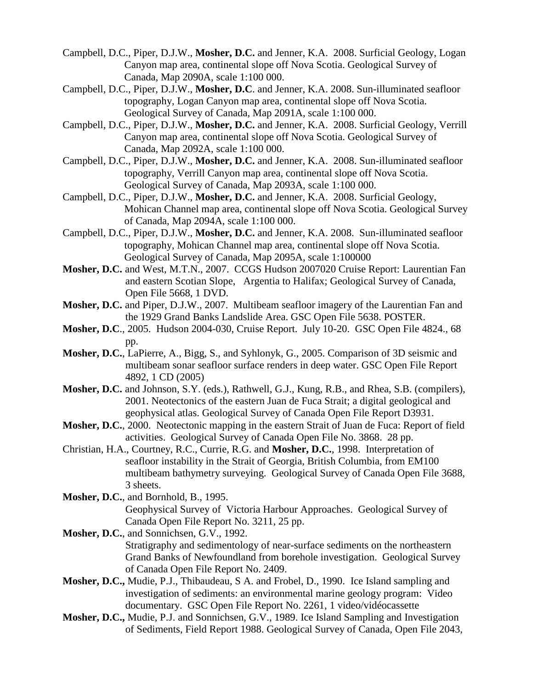- Campbell, D.C., Piper, D.J.W., **Mosher, D.C.** and Jenner, K.A. 2008. Surficial Geology, Logan Canyon map area, continental slope off Nova Scotia. Geological Survey of Canada, Map 2090A, scale 1:100 000.
- Campbell, D.C., Piper, D.J.W., **Mosher, D.C**. and Jenner, K.A. 2008. Sun-illuminated seafloor topography, Logan Canyon map area, continental slope off Nova Scotia. Geological Survey of Canada, Map 2091A, scale 1:100 000.
- Campbell, D.C., Piper, D.J.W., **Mosher, D.C.** and Jenner, K.A. 2008. Surficial Geology, Verrill Canyon map area, continental slope off Nova Scotia. Geological Survey of Canada, Map 2092A, scale 1:100 000.
- Campbell, D.C., Piper, D.J.W., **Mosher, D.C.** and Jenner, K.A. 2008. Sun-illuminated seafloor topography, Verrill Canyon map area, continental slope off Nova Scotia. Geological Survey of Canada, Map 2093A, scale 1:100 000.
- Campbell, D.C., Piper, D.J.W., **Mosher, D.C.** and Jenner, K.A. 2008. Surficial Geology, Mohican Channel map area, continental slope off Nova Scotia. Geological Survey of Canada, Map 2094A, scale 1:100 000.
- Campbell, D.C., Piper, D.J.W., **Mosher, D.C.** and Jenner, K.A. 2008. Sun-illuminated seafloor topography, Mohican Channel map area, continental slope off Nova Scotia. Geological Survey of Canada, Map 2095A, scale 1:100000
- **Mosher, D.C.** and West, M.T.N., 2007. CCGS Hudson 2007020 Cruise Report: Laurentian Fan and eastern Scotian Slope, Argentia to Halifax; Geological Survey of Canada, Open File 5668, 1 DVD.
- **Mosher, D.C.** and Piper, D.J.W., 2007. Multibeam seafloor imagery of the Laurentian Fan and the 1929 Grand Banks Landslide Area. GSC Open File 5638. POSTER.
- **Mosher, D.C**., 2005. Hudson 2004-030, Cruise Report. July 10-20. GSC Open File 4824., 68 pp.
- **Mosher, D.C.**, LaPierre, A., Bigg, S., and Syhlonyk, G., 2005. Comparison of 3D seismic and multibeam sonar seafloor surface renders in deep water. GSC Open File Report 4892, 1 CD (2005)
- **Mosher, D.C.** and Johnson, S.Y. (eds.), Rathwell, G.J., Kung, R.B., and Rhea, S.B. (compilers), 2001. Neotectonics of the eastern Juan de Fuca Strait; a digital geological and geophysical atlas. Geological Survey of Canada Open File Report D3931.
- **Mosher, D.C.**, 2000. Neotectonic mapping in the eastern Strait of Juan de Fuca: Report of field activities. Geological Survey of Canada Open File No. 3868. 28 pp.
- Christian, H.A., Courtney, R.C., Currie, R.G. and **Mosher, D.C.**, 1998. Interpretation of seafloor instability in the Strait of Georgia, British Columbia, from EM100 multibeam bathymetry surveying. Geological Survey of Canada Open File 3688, 3 sheets.
- **Mosher, D.C.**, and Bornhold, B., 1995. Geophysical Survey of Victoria Harbour Approaches. Geological Survey of Canada Open File Report No. 3211, 25 pp.
- **Mosher, D.C.**, and Sonnichsen, G.V., 1992. Stratigraphy and sedimentology of near-surface sediments on the northeastern Grand Banks of Newfoundland from borehole investigation. Geological Survey of Canada Open File Report No. 2409.
- **Mosher, D.C.,** Mudie, P.J., Thibaudeau, S A. and Frobel, D., 1990. Ice Island sampling and investigation of sediments: an environmental marine geology program: Video documentary. GSC Open File Report No. 2261, 1 video/vidéocassette
- **Mosher, D.C.,** Mudie, P.J. and Sonnichsen, G.V., 1989. Ice Island Sampling and Investigation of Sediments, Field Report 1988. Geological Survey of Canada, Open File 2043,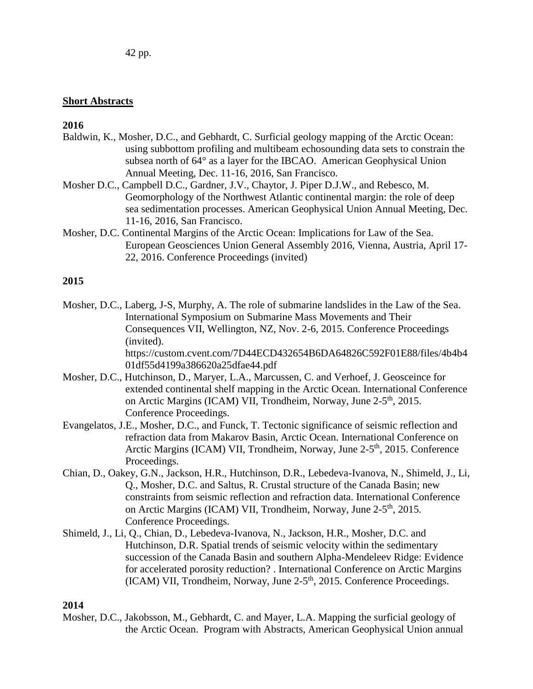### **Short Abstracts**

### **2016**

- Baldwin, K., Mosher, D.C., and Gebhardt, C. Surficial geology mapping of the Arctic Ocean: using subbottom profiling and multibeam echosounding data sets to constrain the subsea north of 64° as a layer for the IBCAO. American Geophysical Union Annual Meeting, Dec. 11-16, 2016, San Francisco.
- Mosher D.C., Campbell D.C., Gardner, J.V., Chaytor, J. Piper D.J.W., and Rebesco, M. Geomorphology of the Northwest Atlantic continental margin: the role of deep sea sedimentation processes. American Geophysical Union Annual Meeting, Dec. 11-16, 2016, San Francisco.
- Mosher, D.C. Continental Margins of the Arctic Ocean: Implications for Law of the Sea. European Geosciences Union General Assembly 2016, Vienna, Austria, April 17- 22, 2016. Conference Proceedings (invited)

# **2015**

- Mosher, D.C., Laberg, J-S, Murphy, A. The role of submarine landslides in the Law of the Sea. International Symposium on Submarine Mass Movements and Their Consequences VII, Wellington, NZ, Nov. 2-6, 2015. Conference Proceedings (invited). https://custom.cvent.com/7D44ECD432654B6DA64826C592F01E88/files/4b4b4 01df55d4199a386620a25dfae44.pdf
- Mosher, D.C., Hutchinson, D., Maryer, L.A., Marcussen, C. and Verhoef, J. Geosceince for extended continental shelf mapping in the Arctic Ocean. International Conference on Arctic Margins (ICAM) VII, Trondheim, Norway, June 2-5<sup>th</sup>, 2015. Conference Proceedings.
- Evangelatos, J.E., Mosher, D.C., and Funck, T. Tectonic significance of seismic reflection and refraction data from Makarov Basin, Arctic Ocean. International Conference on Arctic Margins (ICAM) VII, Trondheim, Norway, June 2-5<sup>th</sup>, 2015. Conference Proceedings.
- Chian, D., Oakey, G.N., Jackson, H.R., Hutchinson, D.R., Lebedeva-Ivanova, N., Shimeld, J., Li, Q., Mosher, D.C. and Saltus, R. Crustal structure of the Canada Basin; new constraints from seismic reflection and refraction data. International Conference on Arctic Margins (ICAM) VII, Trondheim, Norway, June 2-5<sup>th</sup>, 2015. Conference Proceedings.
- Shimeld, J., Li, Q., Chian, D., Lebedeva-Ivanova, N., Jackson, H.R., Mosher, D.C. and Hutchinson, D.R. Spatial trends of seismic velocity within the sedimentary succession of the Canada Basin and southern Alpha-Mendeleev Ridge: Evidence for accelerated porosity reduction? . International Conference on Arctic Margins (ICAM) VII, Trondheim, Norway, June 2-5<sup>th</sup>, 2015. Conference Proceedings.

#### **2014**

Mosher, D.C., Jakobsson, M., Gebhardt, C. and Mayer, L.A. Mapping the surficial geology of the Arctic Ocean. Program with Abstracts, American Geophysical Union annual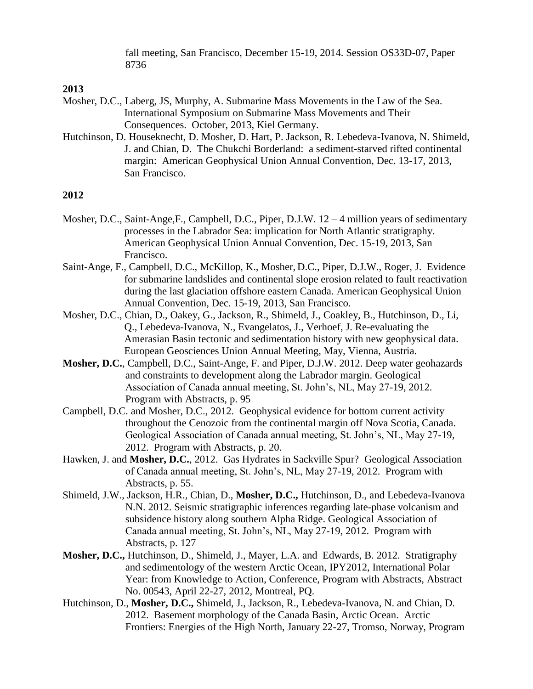fall meeting, San Francisco, December 15-19, 2014. Session OS33D-07, Paper 8736

#### **2013**

- Mosher, D.C., Laberg, JS, Murphy, A. Submarine Mass Movements in the Law of the Sea. International Symposium on Submarine Mass Movements and Their Consequences. October, 2013, Kiel Germany.
- Hutchinson, D. Houseknecht, D. Mosher, D. Hart, P. Jackson, R. Lebedeva-Ivanova, N. Shimeld, J. and Chian, D. The Chukchi Borderland: a sediment-starved rifted continental margin: American Geophysical Union Annual Convention, Dec. 13-17, 2013, San Francisco.

- Mosher, D.C., Saint-Ange,F., Campbell, D.C., Piper, D.J.W. 12 4 million years of sedimentary processes in the Labrador Sea: implication for North Atlantic stratigraphy. American Geophysical Union Annual Convention, Dec. 15-19, 2013, San Francisco.
- Saint-Ange, F., Campbell, D.C., McKillop, K., Mosher, D.C., Piper, D.J.W., Roger, J. Evidence for submarine landslides and continental slope erosion related to fault reactivation during the last glaciation offshore eastern Canada. American Geophysical Union Annual Convention, Dec. 15-19, 2013, San Francisco.
- Mosher, D.C., Chian, D., Oakey, G., Jackson, R., Shimeld, J., Coakley, B., Hutchinson, D., Li, Q., Lebedeva-Ivanova, N., Evangelatos, J., Verhoef, J. Re-evaluating the Amerasian Basin tectonic and sedimentation history with new geophysical data. European Geosciences Union Annual Meeting, May, Vienna, Austria.
- **Mosher, D.C.**, Campbell, D.C., Saint-Ange, F. and Piper, D.J.W. 2012. Deep water geohazards and constraints to development along the Labrador margin. Geological Association of Canada annual meeting, St. John's, NL, May 27-19, 2012. Program with Abstracts, p. 95
- Campbell, D.C. and Mosher, D.C., 2012. Geophysical evidence for bottom current activity throughout the Cenozoic from the continental margin off Nova Scotia, Canada. Geological Association of Canada annual meeting, St. John's, NL, May 27-19, 2012. Program with Abstracts, p. 20.
- Hawken, J. and **Mosher, D.C.**, 2012. Gas Hydrates in Sackville Spur? Geological Association of Canada annual meeting, St. John's, NL, May 27-19, 2012. Program with Abstracts, p. 55.
- Shimeld, J.W., Jackson, H.R., Chian, D., **Mosher, D.C.,** Hutchinson, D., and Lebedeva-Ivanova N.N. 2012. Seismic stratigraphic inferences regarding late-phase volcanism and subsidence history along southern Alpha Ridge. Geological Association of Canada annual meeting, St. John's, NL, May 27-19, 2012. Program with Abstracts, p. 127
- **Mosher, D.C.,** Hutchinson, D., Shimeld, J., Mayer, L.A. and Edwards, B. 2012. Stratigraphy and sedimentology of the western Arctic Ocean, IPY2012, International Polar Year: from Knowledge to Action, Conference, Program with Abstracts, Abstract No. 00543, April 22-27, 2012, Montreal, PQ.
- Hutchinson, D., **Mosher, D.C.,** Shimeld, J., Jackson, R., Lebedeva-Ivanova, N. and Chian, D. 2012. Basement morphology of the Canada Basin, Arctic Ocean. Arctic Frontiers: Energies of the High North, January 22-27, Tromso, Norway, Program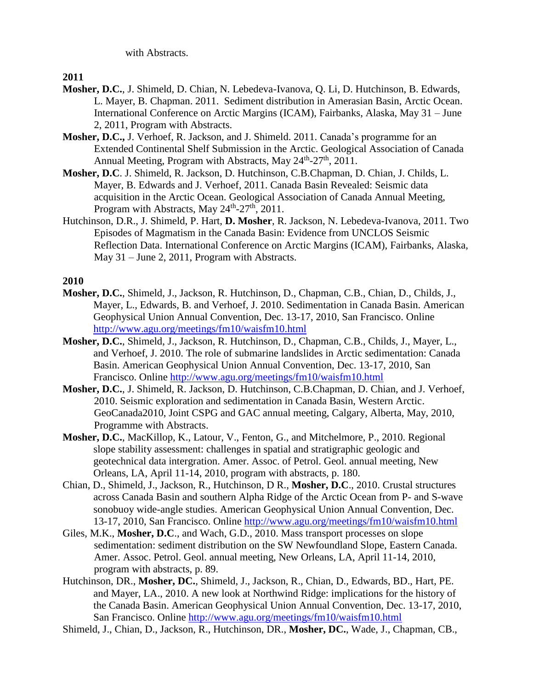with Abstracts.

**2011**

- **Mosher, D.C.**, J. Shimeld, D. Chian, N. Lebedeva-Ivanova, Q. Li, D. Hutchinson, B. Edwards, L. Mayer, B. Chapman. 2011. Sediment distribution in Amerasian Basin, Arctic Ocean. International Conference on Arctic Margins (ICAM), Fairbanks, Alaska, May 31 – June 2, 2011, Program with Abstracts.
- **Mosher, D.C.,** J. Verhoef, R. Jackson, and J. Shimeld. 2011. Canada's programme for an Extended Continental Shelf Submission in the Arctic. Geological Association of Canada Annual Meeting, Program with Abstracts, May 24<sup>th</sup>-27<sup>th</sup>, 2011.
- **Mosher, D.C**. J. Shimeld, R. Jackson, D. Hutchinson, C.B.Chapman, D. Chian, J. Childs, L. Mayer, B. Edwards and J. Verhoef, 2011. Canada Basin Revealed: Seismic data acquisition in the Arctic Ocean. Geological Association of Canada Annual Meeting, Program with Abstracts, May 24<sup>th</sup>-27<sup>th</sup>, 2011.
- Hutchinson, D.R., J. Shimeld, P. Hart, **D. Mosher**, R. Jackson, N. Lebedeva-Ivanova, 2011. Two Episodes of Magmatism in the Canada Basin: Evidence from UNCLOS Seismic Reflection Data. International Conference on Arctic Margins (ICAM), Fairbanks, Alaska, May 31 – June 2, 2011, Program with Abstracts.

- **Mosher, D.C.**, Shimeld, J., Jackson, R. Hutchinson, D., Chapman, C.B., Chian, D., Childs, J., Mayer, L., Edwards, B. and Verhoef, J. 2010. Sedimentation in Canada Basin. American Geophysical Union Annual Convention, Dec. 13-17, 2010, San Francisco. Online <http://www.agu.org/meetings/fm10/waisfm10.html>
- **Mosher, D.C.**, Shimeld, J., Jackson, R. Hutchinson, D., Chapman, C.B., Childs, J., Mayer, L., and Verhoef, J. 2010. The role of submarine landslides in Arctic sedimentation: Canada Basin. American Geophysical Union Annual Convention, Dec. 13-17, 2010, San Francisco. Online<http://www.agu.org/meetings/fm10/waisfm10.html>
- **Mosher, D.C.**, J. Shimeld, R. Jackson, D. Hutchinson, C.B.Chapman, D. Chian, and J. Verhoef, 2010. Seismic exploration and sedimentation in Canada Basin, Western Arctic. GeoCanada2010, Joint CSPG and GAC annual meeting, Calgary, Alberta, May, 2010, Programme with Abstracts.
- **Mosher, D.C.**, MacKillop, K., Latour, V., Fenton, G., and Mitchelmore, P., 2010. Regional slope stability assessment: challenges in spatial and stratigraphic geologic and geotechnical data intergration. Amer. Assoc. of Petrol. Geol. annual meeting, New Orleans, LA, April 11-14, 2010, program with abstracts, p. 180.
- Chian, D., Shimeld, J., Jackson, R., Hutchinson, D R., **Mosher, D.C**., 2010. Crustal structures across Canada Basin and southern Alpha Ridge of the Arctic Ocean from P- and S-wave sonobuoy wide-angle studies. American Geophysical Union Annual Convention, Dec. 13-17, 2010, San Francisco. Online<http://www.agu.org/meetings/fm10/waisfm10.html>
- Giles, M.K., **Mosher, D.C**., and Wach, G.D., 2010. Mass transport processes on slope sedimentation: sediment distribution on the SW Newfoundland Slope, Eastern Canada. Amer. Assoc. Petrol. Geol. annual meeting, New Orleans, LA, April 11-14, 2010, program with abstracts, p. 89.
- Hutchinson, DR., **Mosher, DC.**, Shimeld, J., Jackson, R., Chian, D., Edwards, BD., Hart, PE. and Mayer, LA., 2010. A new look at Northwind Ridge: implications for the history of the Canada Basin. American Geophysical Union Annual Convention, Dec. 13-17, 2010, San Francisco. Online<http://www.agu.org/meetings/fm10/waisfm10.html>
- Shimeld, J., Chian, D., Jackson, R., Hutchinson, DR., **Mosher, DC.**, Wade, J., Chapman, CB.,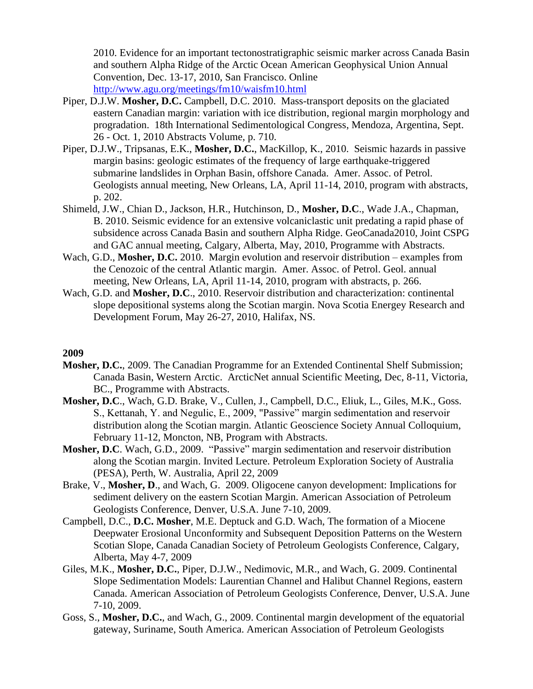2010. Evidence for an important tectonostratigraphic seismic marker across Canada Basin and southern Alpha Ridge of the Arctic Ocean American Geophysical Union Annual Convention, Dec. 13-17, 2010, San Francisco. Online <http://www.agu.org/meetings/fm10/waisfm10.html>

- Piper, D.J.W. **Mosher, D.C.** Campbell, D.C. 2010. Mass-transport deposits on the glaciated eastern Canadian margin: variation with ice distribution, regional margin morphology and progradation. 18th International Sedimentological Congress, Mendoza, Argentina, Sept. 26 - Oct. 1, 2010 Abstracts Volume, p. 710.
- Piper, D.J.W., Tripsanas, E.K., **Mosher, D.C.**, MacKillop, K., 2010. Seismic hazards in passive margin basins: geologic estimates of the frequency of large earthquake-triggered submarine landslides in Orphan Basin, offshore Canada. Amer. Assoc. of Petrol. Geologists annual meeting, New Orleans, LA, April 11-14, 2010, program with abstracts, p. 202.
- Shimeld, J.W., Chian D., Jackson, H.R., Hutchinson, D., **Mosher, D.C**., Wade J.A., Chapman, B. 2010. Seismic evidence for an extensive volcaniclastic unit predating a rapid phase of subsidence across Canada Basin and southern Alpha Ridge. GeoCanada2010, Joint CSPG and GAC annual meeting, Calgary, Alberta, May, 2010, Programme with Abstracts.
- Wach, G.D., **Mosher, D.C.** 2010. Margin evolution and reservoir distribution examples from the Cenozoic of the central Atlantic margin. Amer. Assoc. of Petrol. Geol. annual meeting, New Orleans, LA, April 11-14, 2010, program with abstracts, p. 266.
- Wach, G.D. and **Mosher, D.C**., 2010. Reservoir distribution and characterization: continental slope depositional systems along the Scotian margin. Nova Scotia Energey Research and Development Forum, May 26-27, 2010, Halifax, NS.

- **Mosher, D.C.**, 2009. The Canadian Programme for an Extended Continental Shelf Submission; Canada Basin, Western Arctic. ArcticNet annual Scientific Meeting, Dec, 8-11, Victoria, BC., Programme with Abstracts.
- **Mosher, D.C**., Wach, G.D. Brake, V., Cullen, J., Campbell, D.C., Eliuk, L., Giles, M.K., Goss. S., Kettanah, Y. and Negulic, E., 2009, "Passive" margin sedimentation and reservoir distribution along the Scotian margin. Atlantic Geoscience Society Annual Colloquium, February 11-12, Moncton, NB, Program with Abstracts.
- **Mosher, D.C**. Wach, G.D., 2009. "Passive" margin sedimentation and reservoir distribution along the Scotian margin. Invited Lecture. Petroleum Exploration Society of Australia (PESA), Perth, W. Australia, April 22, 2009
- Brake, V., **Mosher, D**., and Wach, G. 2009. Oligocene canyon development: Implications for sediment delivery on the eastern Scotian Margin. American Association of Petroleum Geologists Conference, Denver, U.S.A. June 7-10, 2009.
- Campbell, D.C., **D.C. Mosher**, M.E. Deptuck and G.D. Wach, The formation of a Miocene Deepwater Erosional Unconformity and Subsequent Deposition Patterns on the Western Scotian Slope, Canada Canadian Society of Petroleum Geologists Conference, Calgary, Alberta, May 4-7, 2009
- Giles, M.K., **Mosher, D.C.**, Piper, D.J.W., Nedimovic, M.R., and Wach, G. 2009. Continental Slope Sedimentation Models: Laurentian Channel and Halibut Channel Regions, eastern Canada. American Association of Petroleum Geologists Conference, Denver, U.S.A. June 7-10, 2009.
- Goss, S., **Mosher, D.C.**, and Wach, G., 2009. Continental margin development of the equatorial gateway, Suriname, South America. American Association of Petroleum Geologists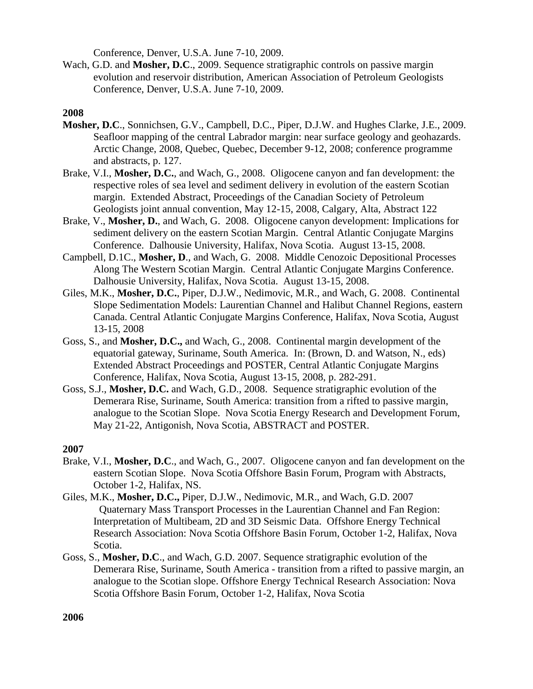Conference, Denver, U.S.A. June 7-10, 2009.

Wach, G.D. and **Mosher, D.C**., 2009. Sequence stratigraphic controls on passive margin evolution and reservoir distribution, American Association of Petroleum Geologists Conference, Denver, U.S.A. June 7-10, 2009.

# **2008**

- **Mosher, D.C**., Sonnichsen, G.V., Campbell, D.C., Piper, D.J.W. and Hughes Clarke, J.E., 2009. Seafloor mapping of the central Labrador margin: near surface geology and geohazards. Arctic Change, 2008, Quebec, Quebec, December 9-12, 2008; conference programme and abstracts, p. 127.
- Brake, V.I., **Mosher, D.C.**, and Wach, G., 2008. Oligocene canyon and fan development: the respective roles of sea level and sediment delivery in evolution of the eastern Scotian margin. Extended Abstract, Proceedings of the Canadian Society of Petroleum Geologists joint annual convention, May 12-15, 2008, Calgary, Alta, Abstract 122
- Brake, V., **Mosher, D.**, and Wach, G. 2008. Oligocene canyon development: Implications for sediment delivery on the eastern Scotian Margin. Central Atlantic Conjugate Margins Conference. Dalhousie University, Halifax, Nova Scotia. August 13-15, 2008.
- Campbell, D.1C., **Mosher, D**., and Wach, G. 2008. Middle Cenozoic Depositional Processes Along The Western Scotian Margin. Central Atlantic Conjugate Margins Conference. Dalhousie University, Halifax, Nova Scotia. August 13-15, 2008.
- Giles, M.K., **Mosher, D.C.**, Piper, D.J.W., Nedimovic, M.R., and Wach, G. 2008. Continental Slope Sedimentation Models: Laurentian Channel and Halibut Channel Regions, eastern Canada. Central Atlantic Conjugate Margins Conference, Halifax, Nova Scotia, August 13-15, 2008
- Goss, S., and **Mosher, D.C.,** and Wach, G., 2008. Continental margin development of the equatorial gateway, Suriname, South America. In: (Brown, D. and Watson, N., eds) Extended Abstract Proceedings and POSTER, Central Atlantic Conjugate Margins Conference, Halifax, Nova Scotia, August 13-15, 2008, p. 282-291.
- Goss, S.J., **Mosher, D.C.** and Wach, G.D., 2008. Sequence stratigraphic evolution of the Demerara Rise, Suriname, South America: transition from a rifted to passive margin, analogue to the Scotian Slope. Nova Scotia Energy Research and Development Forum, May 21-22, Antigonish, Nova Scotia, ABSTRACT and POSTER.

#### **2007**

- Brake, V.I., **Mosher, D.C**., and Wach, G., 2007. Oligocene canyon and fan development on the eastern Scotian Slope. Nova Scotia Offshore Basin Forum, Program with Abstracts, October 1-2, Halifax, NS.
- Giles, M.K., **Mosher, D.C.,** Piper, D.J.W., Nedimovic, M.R., and Wach, G.D. 2007 Quaternary Mass Transport Processes in the Laurentian Channel and Fan Region: Interpretation of Multibeam, 2D and 3D Seismic Data. Offshore Energy Technical Research Association: Nova Scotia Offshore Basin Forum, October 1-2, Halifax, Nova Scotia.
- Goss, S., **Mosher, D.C**., and Wach, G.D. 2007. Sequence stratigraphic evolution of the Demerara Rise, Suriname, South America - transition from a rifted to passive margin, an analogue to the Scotian slope. Offshore Energy Technical Research Association: Nova Scotia Offshore Basin Forum, October 1-2, Halifax, Nova Scotia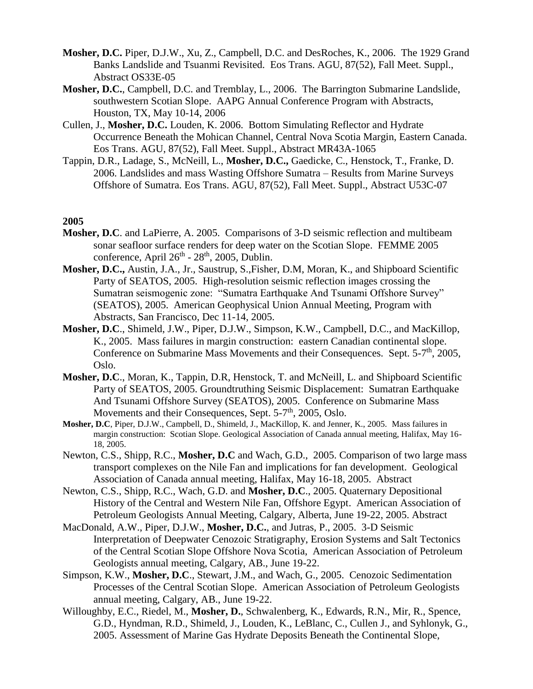- **Mosher, D.C.** Piper, D.J.W., Xu, Z., Campbell, D.C. and DesRoches, K., 2006. The 1929 Grand Banks Landslide and Tsuanmi Revisited. Eos Trans. AGU, 87(52), Fall Meet. Suppl., Abstract OS33E-05
- **Mosher, D.C.**, Campbell, D.C. and Tremblay, L., 2006. The Barrington Submarine Landslide, southwestern Scotian Slope. AAPG Annual Conference Program with Abstracts, Houston, TX, May 10-14, 2006
- Cullen, J., **Mosher, D.C.** Louden, K. 2006. Bottom Simulating Reflector and Hydrate Occurrence Beneath the Mohican Channel, Central Nova Scotia Margin, Eastern Canada. Eos Trans. AGU, 87(52), Fall Meet. Suppl., Abstract MR43A-1065
- Tappin, D.R., Ladage, S., McNeill, L., **Mosher, D.C.,** Gaedicke, C., Henstock, T., Franke, D. 2006. Landslides and mass Wasting Offshore Sumatra – Results from Marine Surveys Offshore of Sumatra. Eos Trans. AGU, 87(52), Fall Meet. Suppl., Abstract U53C-07

- **Mosher, D.C**. and LaPierre, A. 2005. Comparisons of 3-D seismic reflection and multibeam sonar seafloor surface renders for deep water on the Scotian Slope. FEMME 2005 conference, April  $26<sup>th</sup> - 28<sup>th</sup>$ , 2005, Dublin.
- **Mosher, D.C.,** Austin, J.A., Jr., Saustrup, S.,Fisher, D.M, Moran, K., and Shipboard Scientific Party of SEATOS, 2005. High-resolution seismic reflection images crossing the Sumatran seismogenic zone: "Sumatra Earthquake And Tsunami Offshore Survey" (SEATOS), 2005. American Geophysical Union Annual Meeting, Program with Abstracts, San Francisco, Dec 11-14, 2005.
- **Mosher, D.C**., Shimeld, J.W., Piper, D.J.W., Simpson, K.W., Campbell, D.C., and MacKillop, K., 2005. Mass failures in margin construction: eastern Canadian continental slope. Conference on Submarine Mass Movements and their Consequences. Sept. 5-7<sup>th</sup>, 2005, Oslo.
- **Mosher, D.C**., Moran, K., Tappin, D.R, Henstock, T. and McNeill, L. and Shipboard Scientific Party of SEATOS, 2005. Groundtruthing Seismic Displacement: Sumatran Earthquake And Tsunami Offshore Survey (SEATOS), 2005. Conference on Submarine Mass Movements and their Consequences, Sept. 5-7<sup>th</sup>, 2005, Oslo.
- **Mosher, D.C**, Piper, D.J.W., Campbell, D., Shimeld, J., MacKillop, K. and Jenner, K., 2005. Mass failures in margin construction: Scotian Slope. Geological Association of Canada annual meeting, Halifax, May 16- 18, 2005.
- Newton, C.S., Shipp, R.C., **Mosher, D.C** and Wach, G.D., 2005. Comparison of two large mass transport complexes on the Nile Fan and implications for fan development. Geological Association of Canada annual meeting, Halifax, May 16-18, 2005. Abstract
- Newton, C.S., Shipp, R.C., Wach, G.D. and **Mosher, D.C**., 2005. [Quaternary Depositional](http://www.searchanddiscovery.com/documents/abstracts/2005annual_calgary/abstracts/newton.htm)  [History of the Central and Western Nile Fan, Offshore Egypt.](http://www.searchanddiscovery.com/documents/abstracts/2005annual_calgary/abstracts/newton.htm) American Association of Petroleum Geologists Annual Meeting, Calgary, Alberta, June 19-22, 2005. Abstract
- MacDonald, A.W., Piper, D.J.W., **Mosher, D.C.**, and Jutras, P., 2005. 3-D Seismic Interpretation of Deepwater Cenozoic Stratigraphy, Erosion Systems and Salt Tectonics of the Central Scotian Slope Offshore Nova Scotia, American Association of Petroleum Geologists annual meeting, Calgary, AB., June 19-22.
- Simpson, K.W., **Mosher, D.C**., Stewart, J.M., and Wach, G., 2005. Cenozoic Sedimentation Processes of the Central Scotian Slope. American Association of Petroleum Geologists annual meeting, Calgary, AB., June 19-22.
- Willoughby, E.C., Riedel, M., **Mosher, D.**, Schwalenberg, K., Edwards, R.N., Mir, R., Spence, G.D., Hyndman, R.D., Shimeld, J., Louden, K., LeBlanc, C., Cullen J., and Syhlonyk, G., 2005. Assessment of Marine Gas Hydrate Deposits Beneath the Continental Slope,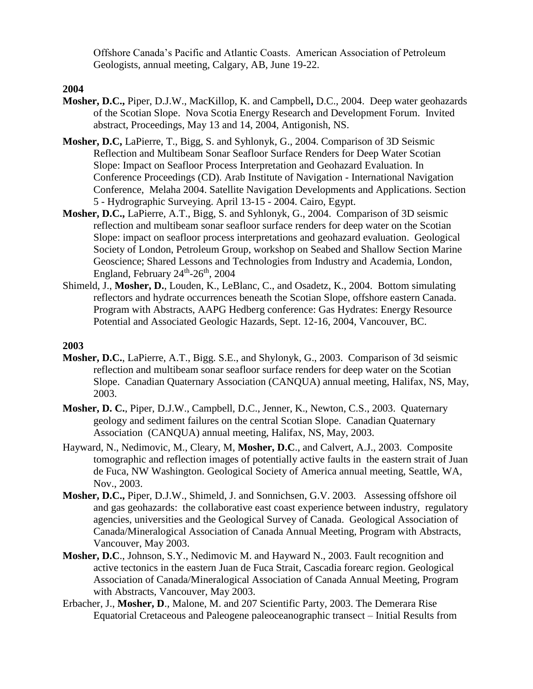Offshore Canada's Pacific and Atlantic Coasts. American Association of Petroleum Geologists, annual meeting, Calgary, AB, June 19-22.

### **2004**

- **Mosher, D.C.,** Piper, D.J.W., MacKillop, K. and Campbell**,** D.C., 2004. Deep water geohazards of the Scotian Slope. Nova Scotia Energy Research and Development Forum. Invited abstract, Proceedings, May 13 and 14, 2004, Antigonish, NS.
- **Mosher, D.C,** LaPierre, T., Bigg, S. and Syhlonyk, G., 2004. Comparison of 3D Seismic Reflection and Multibeam Sonar Seafloor Surface Renders for Deep Water Scotian Slope: Impact on Seafloor Process Interpretation and Geohazard Evaluation. In Conference Proceedings (CD). Arab Institute of Navigation - International Navigation Conference, Melaha 2004. Satellite Navigation Developments and Applications. Section 5 - Hydrographic Surveying. April 13-15 - 2004. Cairo, Egypt.
- **Mosher, D.C.,** LaPierre, A.T., Bigg, S. and Syhlonyk, G., 2004. Comparison of 3D seismic reflection and multibeam sonar seafloor surface renders for deep water on the Scotian Slope: impact on seafloor process interpretations and geohazard evaluation. Geological Society of London, Petroleum Group, workshop on Seabed and Shallow Section Marine Geoscience; Shared Lessons and Technologies from Industry and Academia, London, England, February 24<sup>th</sup>-26<sup>th</sup>, 2004
- Shimeld, J., **Mosher, D.**, Louden, K., LeBlanc, C., and Osadetz, K., 2004. Bottom simulating reflectors and hydrate occurrences beneath the Scotian Slope, offshore eastern Canada. Program with Abstracts, AAPG Hedberg conference: Gas Hydrates: Energy Resource Potential and Associated Geologic Hazards, Sept. 12-16, 2004, Vancouver, BC.

- **Mosher, D.C.**, LaPierre, A.T., Bigg. S.E., and Shylonyk, G., 2003. Comparison of 3d seismic reflection and multibeam sonar seafloor surface renders for deep water on the Scotian Slope. Canadian Quaternary Association (CANQUA) annual meeting, Halifax, NS, May, 2003.
- **Mosher, D. C.**, Piper, D.J.W., Campbell, D.C., Jenner, K., Newton, C.S., 2003. Quaternary geology and sediment failures on the central Scotian Slope. Canadian Quaternary Association (CANQUA) annual meeting, Halifax, NS, May, 2003.
- Hayward, N., Nedimovic, M., Cleary, M, **Mosher, D.C**., and Calvert, A.J., 2003. Composite tomographic and reflection images of potentially active faults in the eastern strait of Juan de Fuca, NW Washington. Geological Society of America annual meeting, Seattle, WA, Nov., 2003.
- **Mosher, D.C.,** Piper, D.J.W., Shimeld, J. and Sonnichsen, G.V. 2003. Assessing offshore oil and gas geohazards: the collaborative east coast experience between industry, regulatory agencies, universities and the Geological Survey of Canada. Geological Association of Canada/Mineralogical Association of Canada Annual Meeting, Program with Abstracts, Vancouver, May 2003.
- **Mosher, D.C**., Johnson, S.Y., Nedimovic M. and Hayward N., 2003. Fault recognition and active tectonics in the eastern Juan de Fuca Strait, Cascadia forearc region. Geological Association of Canada/Mineralogical Association of Canada Annual Meeting, Program with Abstracts, Vancouver, May 2003.
- Erbacher, J., **Mosher, D**., Malone, M. and 207 Scientific Party, 2003. The Demerara Rise Equatorial Cretaceous and Paleogene paleoceanographic transect – Initial Results from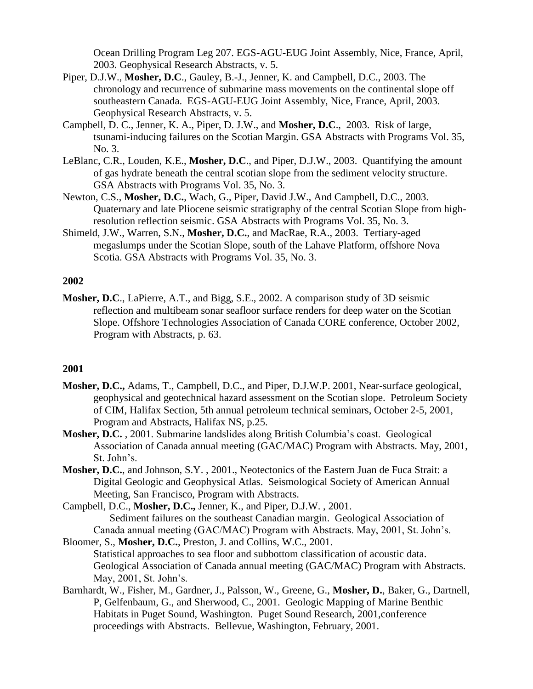Ocean Drilling Program Leg 207. EGS-AGU-EUG Joint Assembly, Nice, France, April, 2003. Geophysical Research Abstracts, v. 5.

- Piper, D.J.W., **Mosher, D.C**., Gauley, B.-J., Jenner, K. and Campbell, D.C., 2003. The chronology and recurrence of submarine mass movements on the continental slope off southeastern Canada. EGS-AGU-EUG Joint Assembly, Nice, France, April, 2003. Geophysical Research Abstracts, v. 5.
- Campbell, D. C., Jenner, K. A., Piper, D. J.W., and **Mosher, D.C**., 2003. Risk of large, tsunami-inducing failures on the Scotian Margin. GSA Abstracts with Programs Vol. 35, No. 3.
- LeBlanc, C.R., Louden, K.E., **Mosher, D.C**., and Piper, D.J.W., 2003. Quantifying the amount of gas hydrate beneath the central scotian slope from the sediment velocity structure. GSA Abstracts with Programs Vol. 35, No. 3.
- Newton, C.S., **Mosher, D.C.**, Wach, G., Piper, David J.W., And Campbell, D.C., 2003. Quaternary and late Pliocene seismic stratigraphy of the central Scotian Slope from highresolution reflection seismic. GSA Abstracts with Programs Vol. 35, No. 3.
- Shimeld, J.W., Warren, S.N., **Mosher, D.C.**, and MacRae, R.A., 2003. Tertiary-aged megaslumps under the Scotian Slope, south of the Lahave Platform, offshore Nova Scotia. GSA Abstracts with Programs Vol. 35, No. 3.

#### **2002**

**Mosher, D.C**., LaPierre, A.T., and Bigg, S.E., 2002. A comparison study of 3D seismic reflection and multibeam sonar seafloor surface renders for deep water on the Scotian Slope. Offshore Technologies Association of Canada CORE conference, October 2002, Program with Abstracts, p. 63.

#### **2001**

- **Mosher, D.C.,** Adams, T., Campbell, D.C., and Piper, D.J.W.P. 2001, Near-surface geological, geophysical and geotechnical hazard assessment on the Scotian slope. Petroleum Society of CIM, Halifax Section, 5th annual petroleum technical seminars, October 2-5, 2001, Program and Abstracts, Halifax NS, p.25.
- **Mosher, D.C.** , 2001. Submarine landslides along British Columbia's coast. Geological Association of Canada annual meeting (GAC/MAC) Program with Abstracts. May, 2001, St. John's.
- **Mosher, D.C.**, and Johnson, S.Y. , 2001., Neotectonics of the Eastern Juan de Fuca Strait: a Digital Geologic and Geophysical Atlas. Seismological Society of American Annual Meeting, San Francisco, Program with Abstracts.

Campbell, D.C., **Mosher, D.C.,** Jenner, K., and Piper, D.J.W. , 2001. Sediment failures on the southeast Canadian margin. Geological Association of Canada annual meeting (GAC/MAC) Program with Abstracts. May, 2001, St. John's.

- Bloomer, S., **Mosher, D.C.**, Preston, J. and Collins, W.C., 2001. Statistical approaches to sea floor and subbottom classification of acoustic data. Geological Association of Canada annual meeting (GAC/MAC) Program with Abstracts. May, 2001, St. John's.
- Barnhardt, W., Fisher, M., Gardner, J., Palsson, W., Greene, G., **Mosher, D.**, Baker, G., Dartnell, P, Gelfenbaum, G., and Sherwood, C., 2001. Geologic Mapping of Marine Benthic Habitats in Puget Sound, Washington. Puget Sound Research, 2001,conference proceedings with Abstracts. Bellevue, Washington, February, 2001.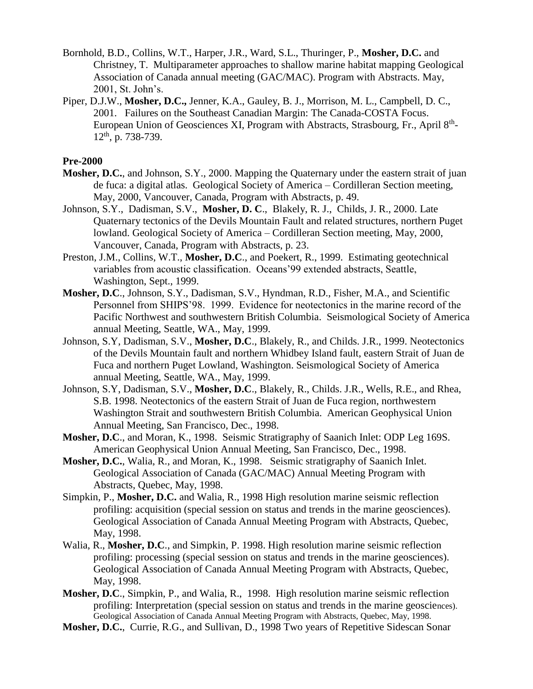- Bornhold, B.D., Collins, W.T., Harper, J.R., Ward, S.L., Thuringer, P., **Mosher, D.C.** and Christney, T. Multiparameter approaches to shallow marine habitat mapping Geological Association of Canada annual meeting (GAC/MAC). Program with Abstracts. May, 2001, St. John's.
- Piper, D.J.W., **Mosher, D.C.,** Jenner, K.A., Gauley, B. J., Morrison, M. L., Campbell, D. C., 2001. Failures on the Southeast Canadian Margin: The Canada-COSTA Focus. European Union of Geosciences XI, Program with Abstracts, Strasbourg, Fr., April 8<sup>th</sup>-12th, p. 738-739.

#### **Pre-2000**

- **Mosher, D.C.**, and Johnson, S.Y., 2000. Mapping the Quaternary under the eastern strait of juan de fuca: a digital atlas. Geological Society of America – Cordilleran Section meeting, May, 2000, Vancouver, Canada, Program with Abstracts, p. 49.
- Johnson, S.Y., Dadisman, S.V., **Mosher, D. C**., Blakely, R. J., Childs, J. R., 2000. Late Quaternary tectonics of the Devils Mountain Fault and related structures, northern Puget lowland. Geological Society of America – Cordilleran Section meeting, May, 2000, Vancouver, Canada, Program with Abstracts, p. 23.
- Preston, J.M., Collins, W.T., **Mosher, D.C**., and Poekert, R., 1999. Estimating geotechnical variables from acoustic classification. Oceans'99 extended abstracts, Seattle, Washington, Sept., 1999.
- **Mosher, D.C**., Johnson, S.Y., Dadisman, S.V., Hyndman, R.D., Fisher, M.A., and Scientific Personnel from SHIPS'98. 1999. Evidence for neotectonics in the marine record of the Pacific Northwest and southwestern British Columbia. Seismological Society of America annual Meeting, Seattle, WA., May, 1999.
- Johnson, S.Y, Dadisman, S.V., **Mosher, D.C**., Blakely, R., and Childs. J.R., 1999. Neotectonics of the Devils Mountain fault and northern Whidbey Island fault, eastern Strait of Juan de Fuca and northern Puget Lowland, Washington. Seismological Society of America annual Meeting, Seattle, WA., May, 1999.
- Johnson, S.Y, Dadisman, S.V., **Mosher, D.C**., Blakely, R., Childs. J.R., Wells, R.E., and Rhea, S.B. 1998. Neotectonics of the eastern Strait of Juan de Fuca region, northwestern Washington Strait and southwestern British Columbia. American Geophysical Union Annual Meeting, San Francisco, Dec., 1998.
- **Mosher, D.C**., and Moran, K., 1998. Seismic Stratigraphy of Saanich Inlet: ODP Leg 169S. American Geophysical Union Annual Meeting, San Francisco, Dec., 1998.
- **Mosher, D.C.**, Walia, R., and Moran, K., 1998. Seismic stratigraphy of Saanich Inlet. Geological Association of Canada (GAC/MAC) Annual Meeting Program with Abstracts, Quebec, May, 1998.
- Simpkin, P., **Mosher, D.C.** and Walia, R., 1998 High resolution marine seismic reflection profiling: acquisition (special session on status and trends in the marine geosciences). Geological Association of Canada Annual Meeting Program with Abstracts, Quebec, May, 1998.
- Walia, R., **Mosher, D.C**., and Simpkin, P. 1998. High resolution marine seismic reflection profiling: processing (special session on status and trends in the marine geosciences). Geological Association of Canada Annual Meeting Program with Abstracts, Quebec, May, 1998.
- **Mosher, D.C**., Simpkin, P., and Walia, R., 1998. High resolution marine seismic reflection profiling: Interpretation (special session on status and trends in the marine geosciences). Geological Association of Canada Annual Meeting Program with Abstracts, Quebec, May, 1998.
- **Mosher, D.C.**, Currie, R.G., and Sullivan, D., 1998 Two years of Repetitive Sidescan Sonar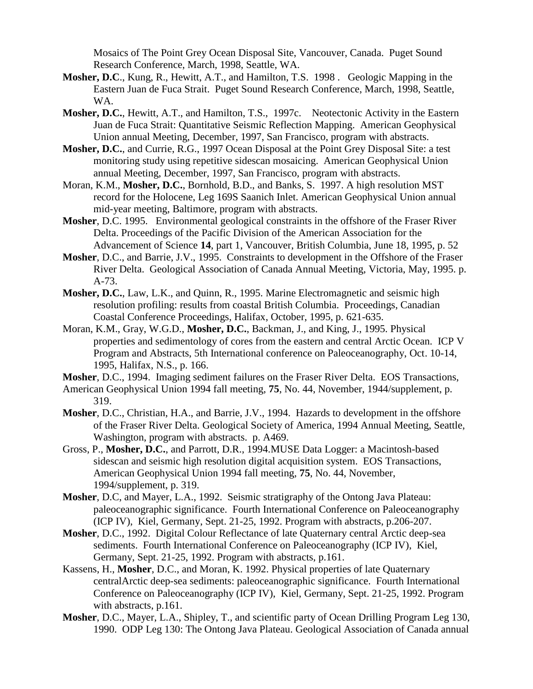Mosaics of The Point Grey Ocean Disposal Site, Vancouver, Canada. Puget Sound Research Conference, March, 1998, Seattle, WA.

- **Mosher, D.C**., Kung, R., Hewitt, A.T., and Hamilton, T.S. 1998 . Geologic Mapping in the Eastern Juan de Fuca Strait. Puget Sound Research Conference, March, 1998, Seattle, WA.
- **Mosher, D.C.**, Hewitt, A.T., and Hamilton, T.S., 1997c. Neotectonic Activity in the Eastern Juan de Fuca Strait: Quantitative Seismic Reflection Mapping. American Geophysical Union annual Meeting, December, 1997, San Francisco, program with abstracts.
- **Mosher, D.C.**, and Currie, R.G., 1997 Ocean Disposal at the Point Grey Disposal Site: a test monitoring study using repetitive sidescan mosaicing. American Geophysical Union annual Meeting, December, 1997, San Francisco, program with abstracts.
- Moran, K.M., **Mosher, D.C.**, Bornhold, B.D., and Banks, S. 1997. A high resolution MST record for the Holocene, Leg 169S Saanich Inlet. American Geophysical Union annual mid-year meeting, Baltimore, program with abstracts.
- **Mosher**, D.C. 1995. Environmental geological constraints in the offshore of the Fraser River Delta. Proceedings of the Pacific Division of the American Association for the Advancement of Science **14**, part 1, Vancouver, British Columbia, June 18, 1995, p. 52
- **Mosher**, D.C., and Barrie, J.V., 1995. Constraints to development in the Offshore of the Fraser River Delta. Geological Association of Canada Annual Meeting, Victoria, May, 1995. p. A-73.
- **Mosher, D.C.**, Law, L.K., and Quinn, R., 1995. Marine Electromagnetic and seismic high resolution profiling: results from coastal British Columbia. Proceedings, Canadian Coastal Conference Proceedings, Halifax, October, 1995, p. 621-635.
- Moran, K.M., Gray, W.G.D., **Mosher, D.C.**, Backman, J., and King, J., 1995. Physical properties and sedimentology of cores from the eastern and central Arctic Ocean. ICP V Program and Abstracts, 5th International conference on Paleoceanography, Oct. 10-14, 1995, Halifax, N.S., p. 166.
- **Mosher**, D.C., 1994. Imaging sediment failures on the Fraser River Delta. EOS Transactions,
- American Geophysical Union 1994 fall meeting, **75**, No. 44, November, 1944/supplement, p. 319.
- **Mosher**, D.C., Christian, H.A., and Barrie, J.V., 1994. Hazards to development in the offshore of the Fraser River Delta. Geological Society of America, 1994 Annual Meeting, Seattle, Washington, program with abstracts. p. A469.
- Gross, P., **Mosher, D.C.**, and Parrott, D.R., 1994.MUSE Data Logger: a Macintosh-based sidescan and seismic high resolution digital acquisition system. EOS Transactions, American Geophysical Union 1994 fall meeting, **75**, No. 44, November, 1994/supplement, p. 319.
- **Mosher**, D.C, and Mayer, L.A., 1992. Seismic stratigraphy of the Ontong Java Plateau: paleoceanographic significance. Fourth International Conference on Paleoceanography (ICP IV), Kiel, Germany, Sept. 21-25, 1992. Program with abstracts, p.206-207.
- **Mosher**, D.C., 1992. Digital Colour Reflectance of late Quaternary central Arctic deep-sea sediments. Fourth International Conference on Paleoceanography (ICP IV), Kiel, Germany, Sept. 21-25, 1992. Program with abstracts, p.161.
- Kassens, H., **Mosher**, D.C., and Moran, K. 1992. Physical properties of late Quaternary centralArctic deep-sea sediments: paleoceanographic significance. Fourth International Conference on Paleoceanography (ICP IV), Kiel, Germany, Sept. 21-25, 1992. Program with abstracts, p.161.
- **Mosher**, D.C., Mayer, L.A., Shipley, T., and scientific party of Ocean Drilling Program Leg 130, 1990. ODP Leg 130: The Ontong Java Plateau. Geological Association of Canada annual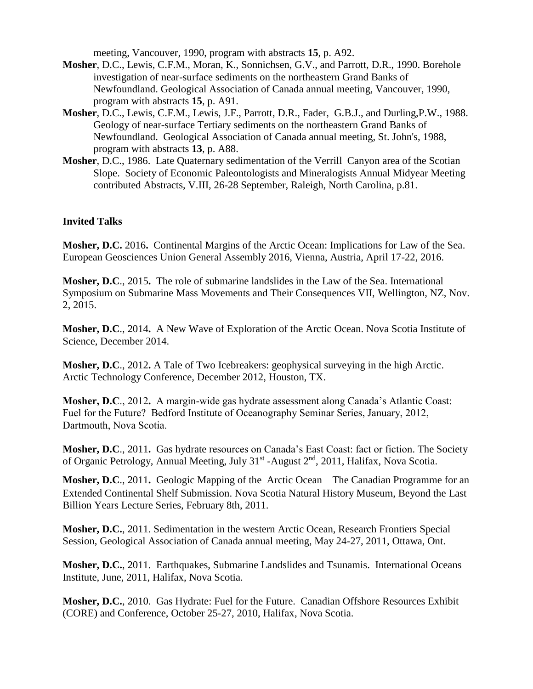meeting, Vancouver, 1990, program with abstracts **15**, p. A92.

- **Mosher**, D.C., Lewis, C.F.M., Moran, K., Sonnichsen, G.V., and Parrott, D.R., 1990. Borehole investigation of near-surface sediments on the northeastern Grand Banks of Newfoundland. Geological Association of Canada annual meeting, Vancouver, 1990, program with abstracts **15**, p. A91.
- **Mosher**, D.C., Lewis, C.F.M., Lewis, J.F., Parrott, D.R., Fader, G.B.J., and Durling,P.W., 1988. Geology of near-surface Tertiary sediments on the northeastern Grand Banks of Newfoundland. Geological Association of Canada annual meeting, St. John's, 1988, program with abstracts **13**, p. A88.
- **Mosher**, D.C., 1986. Late Quaternary sedimentation of the Verrill Canyon area of the Scotian Slope. Society of Economic Paleontologists and Mineralogists Annual Midyear Meeting contributed Abstracts, V.III, 26-28 September, Raleigh, North Carolina, p.81.

#### **Invited Talks**

**Mosher, D.C.** 2016**.** Continental Margins of the Arctic Ocean: Implications for Law of the Sea. European Geosciences Union General Assembly 2016, Vienna, Austria, April 17-22, 2016.

**Mosher, D.C**., 2015**.** The role of submarine landslides in the Law of the Sea. International Symposium on Submarine Mass Movements and Their Consequences VII, Wellington, NZ, Nov. 2, 2015.

**Mosher, D.C**., 2014**.** A New Wave of Exploration of the Arctic Ocean. Nova Scotia Institute of Science, December 2014.

**Mosher, D.C**., 2012**.** A Tale of Two Icebreakers: geophysical surveying in the high Arctic. Arctic Technology Conference, December 2012, Houston, TX.

**Mosher, D.C**., 2012**.** A margin-wide gas hydrate assessment along Canada's Atlantic Coast: Fuel for the Future? Bedford Institute of Oceanography Seminar Series, January, 2012, Dartmouth, Nova Scotia.

**Mosher, D.C**., 2011**.** Gas hydrate resources on Canada's East Coast: fact or fiction. The Society of Organic Petrology, Annual Meeting, July 31<sup>st</sup> -August 2<sup>nd</sup>, 2011, Halifax, Nova Scotia.

**Mosher, D.C**., 2011**.** Geologic Mapping of the Arctic Ocean**:** The Canadian Programme for an Extended Continental Shelf Submission. Nova Scotia Natural History Museum, Beyond the Last Billion Years Lecture Series, February 8th, 2011.

**Mosher, D.C.**, 2011. Sedimentation in the western Arctic Ocean, Research Frontiers Special Session, Geological Association of Canada annual meeting, May 24-27, 2011, Ottawa, Ont.

**Mosher, D.C.**, 2011. Earthquakes, Submarine Landslides and Tsunamis. International Oceans Institute, June, 2011, Halifax, Nova Scotia.

**Mosher, D.C.**, 2010. Gas Hydrate: Fuel for the Future. Canadian Offshore Resources Exhibit (CORE) and Conference, October 25-27, 2010, Halifax, Nova Scotia.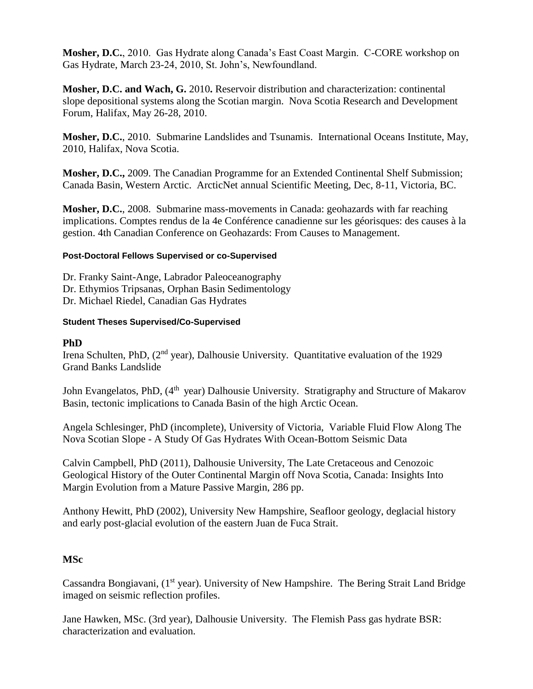**Mosher, D.C.**, 2010. Gas Hydrate along Canada's East Coast Margin. C-CORE workshop on Gas Hydrate, March 23-24, 2010, St. John's, Newfoundland.

**Mosher, D.C. and Wach, G.** 2010**.** Reservoir distribution and characterization: continental slope depositional systems along the Scotian margin. Nova Scotia Research and Development Forum, Halifax, May 26-28, 2010.

**Mosher, D.C.**, 2010. Submarine Landslides and Tsunamis. International Oceans Institute, May, 2010, Halifax, Nova Scotia.

**Mosher, D.C.,** 2009. The Canadian Programme for an Extended Continental Shelf Submission; Canada Basin, Western Arctic. ArcticNet annual Scientific Meeting, Dec, 8-11, Victoria, BC.

**Mosher, D.C.**, 2008. Submarine mass-movements in Canada: geohazards with far reaching implications. Comptes rendus de la 4e Conférence canadienne sur les géorisques: des causes à la gestion. 4th Canadian Conference on Geohazards: From Causes to Management.

# **Post-Doctoral Fellows Supervised or co-Supervised**

Dr. Franky Saint-Ange, Labrador Paleoceanography Dr. Ethymios Tripsanas, Orphan Basin Sedimentology Dr. Michael Riedel, Canadian Gas Hydrates

#### **Student Theses Supervised/Co-Supervised**

# **PhD**

Irena Schulten, PhD, (2<sup>nd</sup> year), Dalhousie University. Quantitative evaluation of the 1929 Grand Banks Landslide

John Evangelatos, PhD, (4<sup>th</sup> year) Dalhousie University. Stratigraphy and Structure of Makarov Basin, tectonic implications to Canada Basin of the high Arctic Ocean.

Angela Schlesinger, PhD (incomplete), University of Victoria, Variable Fluid Flow Along The Nova Scotian Slope - A Study Of Gas Hydrates With Ocean-Bottom Seismic Data

Calvin Campbell, PhD (2011), Dalhousie University, The Late Cretaceous and Cenozoic Geological History of the Outer Continental Margin off Nova Scotia, Canada: Insights Into Margin Evolution from a Mature Passive Margin, 286 pp.

Anthony Hewitt, PhD (2002), University New Hampshire, Seafloor geology, deglacial history and early post-glacial evolution of the eastern Juan de Fuca Strait.

# **MSc**

Cassandra Bongiavani, (1<sup>st</sup> year). University of New Hampshire. The Bering Strait Land Bridge imaged on seismic reflection profiles.

Jane Hawken, MSc. (3rd year), Dalhousie University. The Flemish Pass gas hydrate BSR: characterization and evaluation.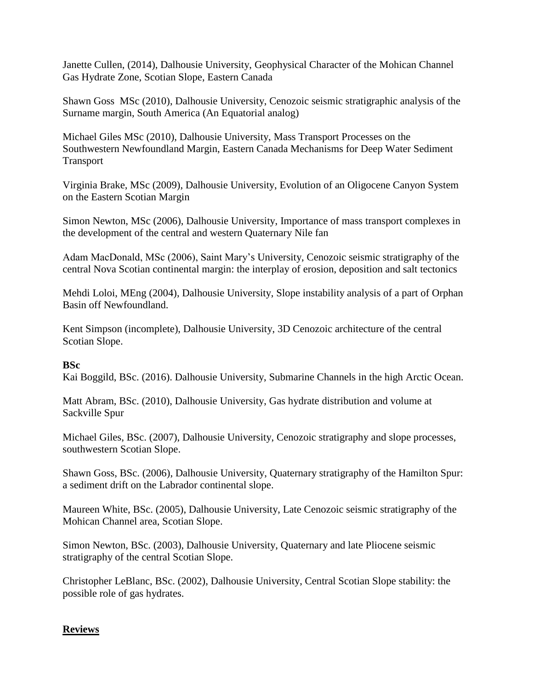Janette Cullen, (2014), Dalhousie University, Geophysical Character of the Mohican Channel Gas Hydrate Zone, Scotian Slope, Eastern Canada

Shawn Goss MSc (2010), Dalhousie University, Cenozoic seismic stratigraphic analysis of the Surname margin, South America (An Equatorial analog)

Michael Giles MSc (2010), Dalhousie University, Mass Transport Processes on the Southwestern Newfoundland Margin, Eastern Canada Mechanisms for Deep Water Sediment Transport

Virginia Brake, MSc (2009), Dalhousie University, Evolution of an Oligocene Canyon System on the Eastern Scotian Margin

Simon Newton, MSc (2006), Dalhousie University, Importance of mass transport complexes in the development of the central and western Quaternary Nile fan

Adam MacDonald, MSc (2006), Saint Mary's University, Cenozoic seismic stratigraphy of the central Nova Scotian continental margin: the interplay of erosion, deposition and salt tectonics

Mehdi Loloi, MEng (2004), Dalhousie University, Slope instability analysis of a part of Orphan Basin off Newfoundland.

Kent Simpson (incomplete), Dalhousie University, 3D Cenozoic architecture of the central Scotian Slope.

# **BSc**

Kai Boggild, BSc. (2016). Dalhousie University, Submarine Channels in the high Arctic Ocean.

Matt Abram, BSc. (2010), Dalhousie University, Gas hydrate distribution and volume at Sackville Spur

Michael Giles, BSc. (2007), Dalhousie University, Cenozoic stratigraphy and slope processes, southwestern Scotian Slope.

Shawn Goss, BSc. (2006), Dalhousie University, Quaternary stratigraphy of the Hamilton Spur: a sediment drift on the Labrador continental slope.

Maureen White, BSc. (2005), Dalhousie University, Late Cenozoic seismic stratigraphy of the Mohican Channel area, Scotian Slope.

Simon Newton, BSc. (2003), Dalhousie University, Quaternary and late Pliocene seismic stratigraphy of the central Scotian Slope.

Christopher LeBlanc, BSc. (2002), Dalhousie University, Central Scotian Slope stability: the possible role of gas hydrates.

# **Reviews**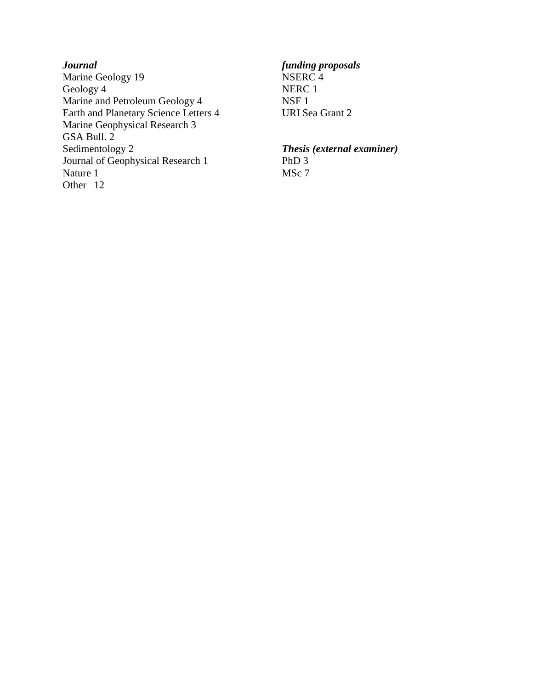*Journal funding proposals* Marine Geology 19 NSERC 4 Geology 4 NERC 1 Marine and Petroleum Geology 4 NSF 1<br>Earth and Planetary Science Letters 4 URI Sea Grant 2 Earth and Planetary Science Letters 4 Marine Geophysical Research 3 GSA Bull. 2 Sedimentology 2 *Thesis (external examiner)* Journal of Geophysical Research 1 PhD 3<br>Nature 1 MSc 7 Nature 1 Other 12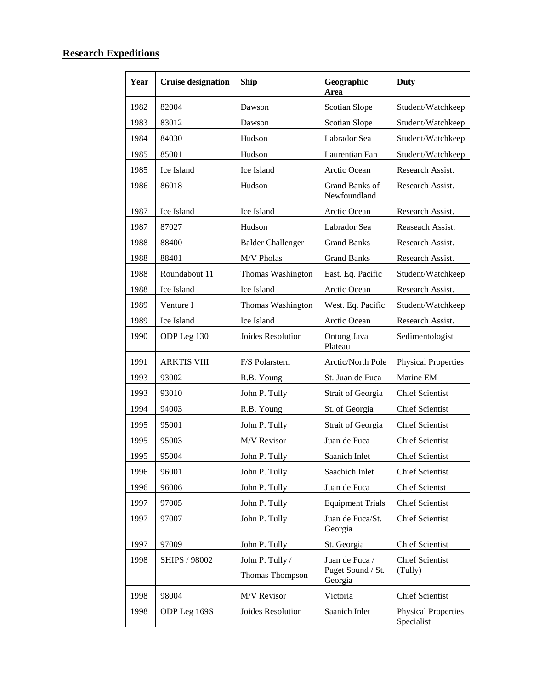# **Research Expeditions**

| Year | <b>Cruise designation</b> | <b>Ship</b>                        | Geographic<br>Area                             | <b>Duty</b>                              |
|------|---------------------------|------------------------------------|------------------------------------------------|------------------------------------------|
| 1982 | 82004                     | Dawson                             | <b>Scotian Slope</b>                           | Student/Watchkeep                        |
| 1983 | 83012                     | Dawson                             | <b>Scotian Slope</b>                           | Student/Watchkeep                        |
| 1984 | 84030                     | Hudson                             | Labrador Sea                                   | Student/Watchkeep                        |
| 1985 | 85001                     | Hudson                             | Laurentian Fan                                 | Student/Watchkeep                        |
| 1985 | Ice Island                | Ice Island                         | Arctic Ocean                                   | Research Assist.                         |
| 1986 | 86018                     | Hudson                             | Grand Banks of<br>Newfoundland                 | Research Assist.                         |
| 1987 | Ice Island                | Ice Island                         | Arctic Ocean                                   | Research Assist.                         |
| 1987 | 87027                     | Hudson                             | Labrador Sea                                   | Reaseach Assist.                         |
| 1988 | 88400                     | <b>Balder Challenger</b>           | <b>Grand Banks</b>                             | Research Assist.                         |
| 1988 | 88401                     | M/V Pholas                         | <b>Grand Banks</b>                             | Research Assist.                         |
| 1988 | Roundabout 11             | Thomas Washington                  | East. Eq. Pacific                              | Student/Watchkeep                        |
| 1988 | Ice Island                | Ice Island                         | Arctic Ocean                                   | Research Assist.                         |
| 1989 | Venture I                 | Thomas Washington                  | West. Eq. Pacific                              | Student/Watchkeep                        |
| 1989 | Ice Island                | Ice Island                         | Arctic Ocean                                   | Research Assist.                         |
| 1990 | ODP Leg 130               | Joides Resolution                  | Ontong Java<br>Plateau                         | Sedimentologist                          |
| 1991 | <b>ARKTIS VIII</b>        | F/S Polarstern                     | Arctic/North Pole                              | <b>Physical Properties</b>               |
| 1993 | 93002                     | R.B. Young                         | St. Juan de Fuca                               | Marine EM                                |
| 1993 | 93010                     | John P. Tully                      | Strait of Georgia                              | <b>Chief Scientist</b>                   |
| 1994 | 94003                     | R.B. Young                         | St. of Georgia                                 | <b>Chief Scientist</b>                   |
| 1995 | 95001                     | John P. Tully                      | Strait of Georgia                              | <b>Chief Scientist</b>                   |
| 1995 | 95003                     | M/V Revisor                        | Juan de Fuca                                   | <b>Chief Scientist</b>                   |
| 1995 | 95004                     | John P. Tully                      | Saanich Inlet                                  | <b>Chief Scientist</b>                   |
| 1996 | 96001                     | John P. Tully                      | Saachich Inlet                                 | <b>Chief Scientist</b>                   |
| 1996 | 96006                     | John P. Tully                      | Juan de Fuca                                   | <b>Chief Scientst</b>                    |
| 1997 | 97005                     | John P. Tully                      | <b>Equipment Trials</b>                        | <b>Chief Scientist</b>                   |
| 1997 | 97007                     | John P. Tully                      | Juan de Fuca/St.<br>Georgia                    | <b>Chief Scientist</b>                   |
| 1997 | 97009                     | John P. Tully                      | St. Georgia                                    | <b>Chief Scientist</b>                   |
| 1998 | SHIPS / 98002             | John P. Tully /<br>Thomas Thompson | Juan de Fuca /<br>Puget Sound / St.<br>Georgia | <b>Chief Scientist</b><br>(Tully)        |
| 1998 | 98004                     | M/V Revisor                        | Victoria                                       | <b>Chief Scientist</b>                   |
| 1998 | ODP Leg 169S              | Joides Resolution                  | Saanich Inlet                                  | <b>Physical Properties</b><br>Specialist |